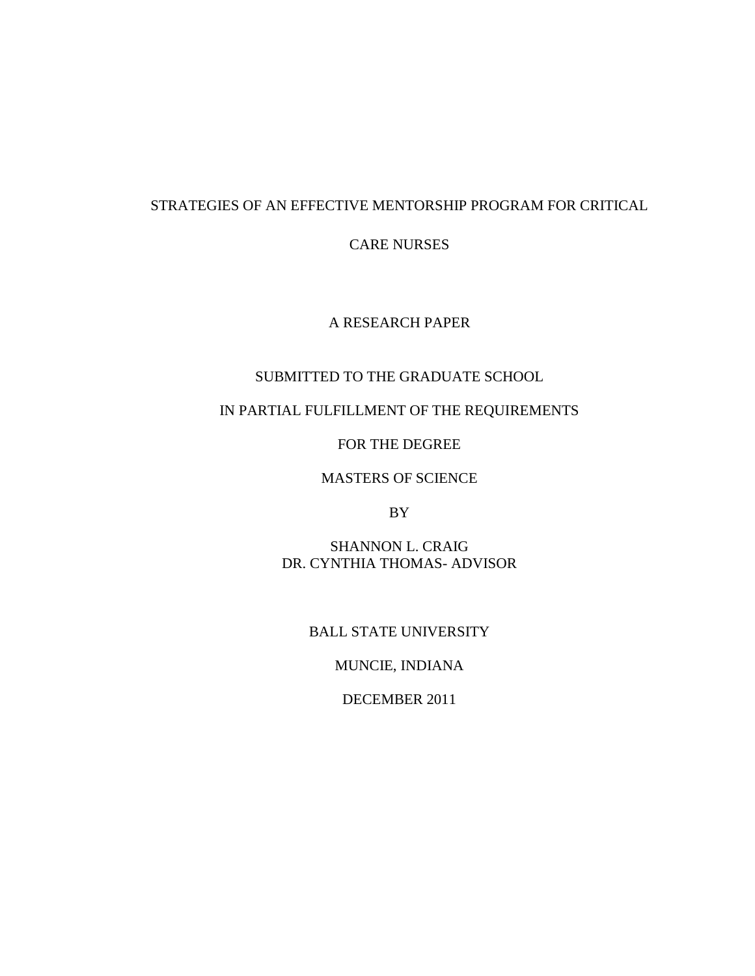# STRATEGIES OF AN EFFECTIVE MENTORSHIP PROGRAM FOR CRITICAL

CARE NURSES

A RESEARCH PAPER

# SUBMITTED TO THE GRADUATE SCHOOL

# IN PARTIAL FULFILLMENT OF THE REQUIREMENTS

FOR THE DEGREE

MASTERS OF SCIENCE

BY

SHANNON L. CRAIG DR. CYNTHIA THOMAS- ADVISOR

BALL STATE UNIVERSITY

MUNCIE, INDIANA

DECEMBER 2011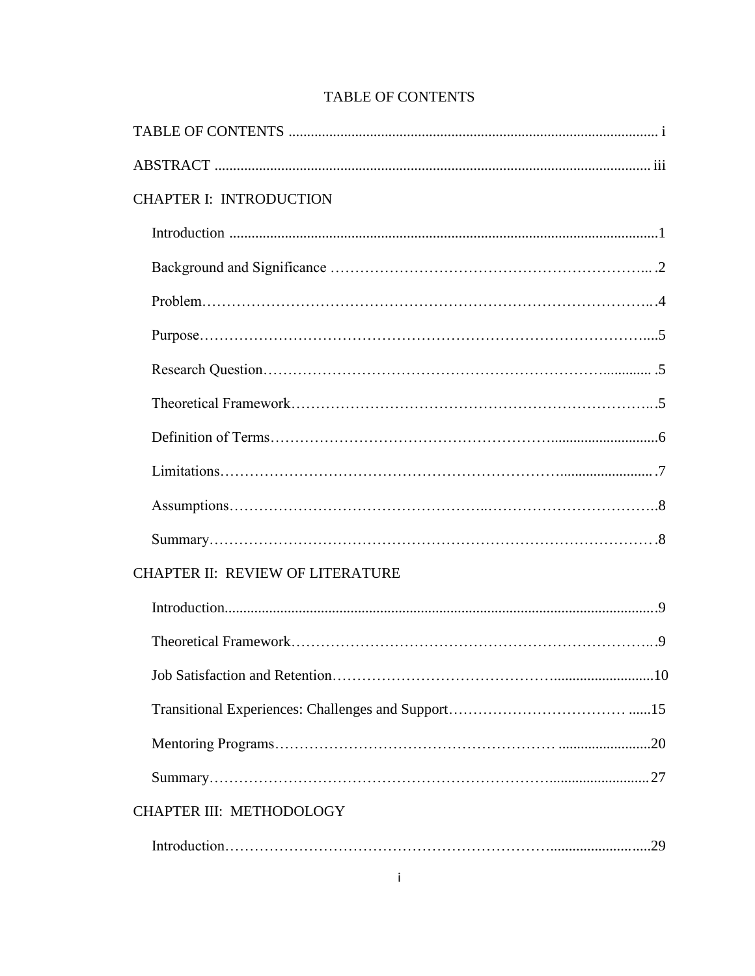| <b>CHAPTER I: INTRODUCTION</b>          |
|-----------------------------------------|
|                                         |
|                                         |
|                                         |
|                                         |
|                                         |
|                                         |
|                                         |
|                                         |
|                                         |
|                                         |
| <b>CHAPTER II: REVIEW OF LITERATURE</b> |
|                                         |
|                                         |
| .10                                     |
|                                         |
|                                         |
|                                         |
| <b>CHAPTER III: METHODOLOGY</b>         |
|                                         |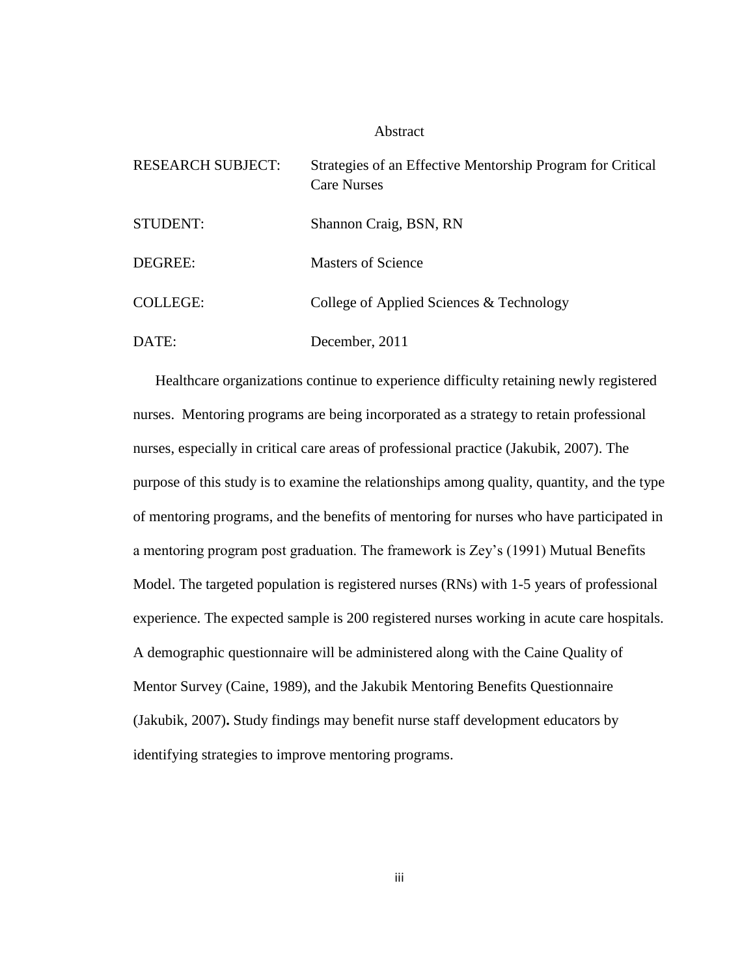### Abstract

| <b>RESEARCH SUBJECT:</b> | Strategies of an Effective Mentorship Program for Critical<br><b>Care Nurses</b> |
|--------------------------|----------------------------------------------------------------------------------|
| <b>STUDENT:</b>          | Shannon Craig, BSN, RN                                                           |
| DEGREE:                  | Masters of Science                                                               |
| <b>COLLEGE:</b>          | College of Applied Sciences & Technology                                         |
| DATE:                    | December, 2011                                                                   |

Healthcare organizations continue to experience difficulty retaining newly registered nurses. Mentoring programs are being incorporated as a strategy to retain professional nurses, especially in critical care areas of professional practice (Jakubik, 2007). The purpose of this study is to examine the relationships among quality, quantity, and the type of mentoring programs, and the benefits of mentoring for nurses who have participated in a mentoring program post graduation. The framework is Zey"s (1991) Mutual Benefits Model. The targeted population is registered nurses (RNs) with 1-5 years of professional experience. The expected sample is 200 registered nurses working in acute care hospitals. A demographic questionnaire will be administered along with the Caine Quality of Mentor Survey (Caine, 1989), and the Jakubik Mentoring Benefits Questionnaire (Jakubik, 2007)**.** Study findings may benefit nurse staff development educators by identifying strategies to improve mentoring programs.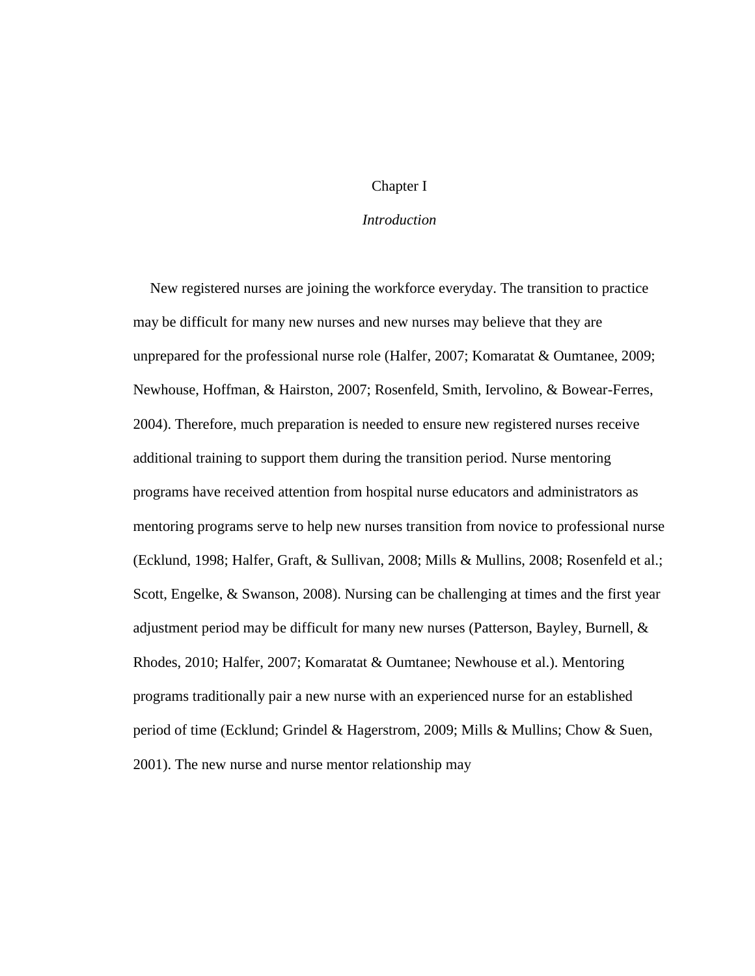# Chapter I

# *Introduction*

New registered nurses are joining the workforce everyday. The transition to practice may be difficult for many new nurses and new nurses may believe that they are unprepared for the professional nurse role (Halfer, 2007; Komaratat & Oumtanee, 2009; Newhouse, Hoffman, & Hairston, 2007; Rosenfeld, Smith, Iervolino, & Bowear-Ferres, 2004). Therefore, much preparation is needed to ensure new registered nurses receive additional training to support them during the transition period. Nurse mentoring programs have received attention from hospital nurse educators and administrators as mentoring programs serve to help new nurses transition from novice to professional nurse (Ecklund, 1998; Halfer, Graft, & Sullivan, 2008; Mills & Mullins, 2008; Rosenfeld et al.; Scott, Engelke, & Swanson, 2008). Nursing can be challenging at times and the first year adjustment period may be difficult for many new nurses (Patterson, Bayley, Burnell, & Rhodes, 2010; Halfer, 2007; Komaratat & Oumtanee; Newhouse et al.). Mentoring programs traditionally pair a new nurse with an experienced nurse for an established period of time (Ecklund; Grindel & Hagerstrom, 2009; Mills & Mullins; Chow & Suen, 2001). The new nurse and nurse mentor relationship may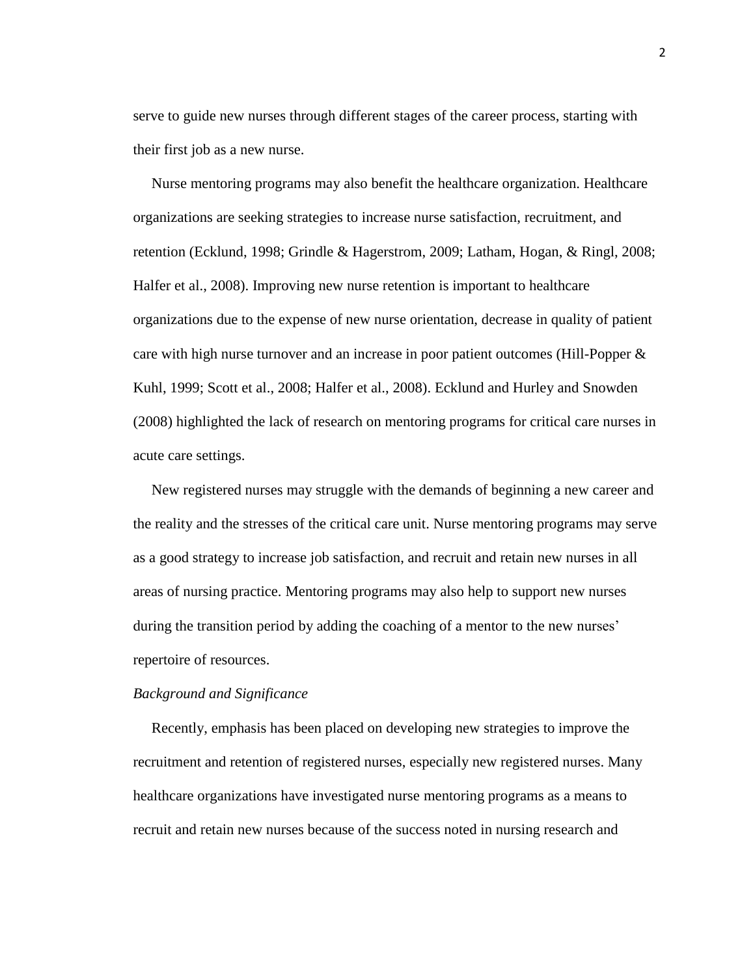serve to guide new nurses through different stages of the career process, starting with their first job as a new nurse.

Nurse mentoring programs may also benefit the healthcare organization. Healthcare organizations are seeking strategies to increase nurse satisfaction, recruitment, and retention (Ecklund, 1998; Grindle & Hagerstrom, 2009; Latham, Hogan, & Ringl, 2008; Halfer et al., 2008). Improving new nurse retention is important to healthcare organizations due to the expense of new nurse orientation, decrease in quality of patient care with high nurse turnover and an increase in poor patient outcomes (Hill-Popper & Kuhl, 1999; Scott et al., 2008; Halfer et al., 2008). Ecklund and Hurley and Snowden (2008) highlighted the lack of research on mentoring programs for critical care nurses in acute care settings.

New registered nurses may struggle with the demands of beginning a new career and the reality and the stresses of the critical care unit. Nurse mentoring programs may serve as a good strategy to increase job satisfaction, and recruit and retain new nurses in all areas of nursing practice. Mentoring programs may also help to support new nurses during the transition period by adding the coaching of a mentor to the new nurses' repertoire of resources.

### *Background and Significance*

 Recently, emphasis has been placed on developing new strategies to improve the recruitment and retention of registered nurses, especially new registered nurses. Many healthcare organizations have investigated nurse mentoring programs as a means to recruit and retain new nurses because of the success noted in nursing research and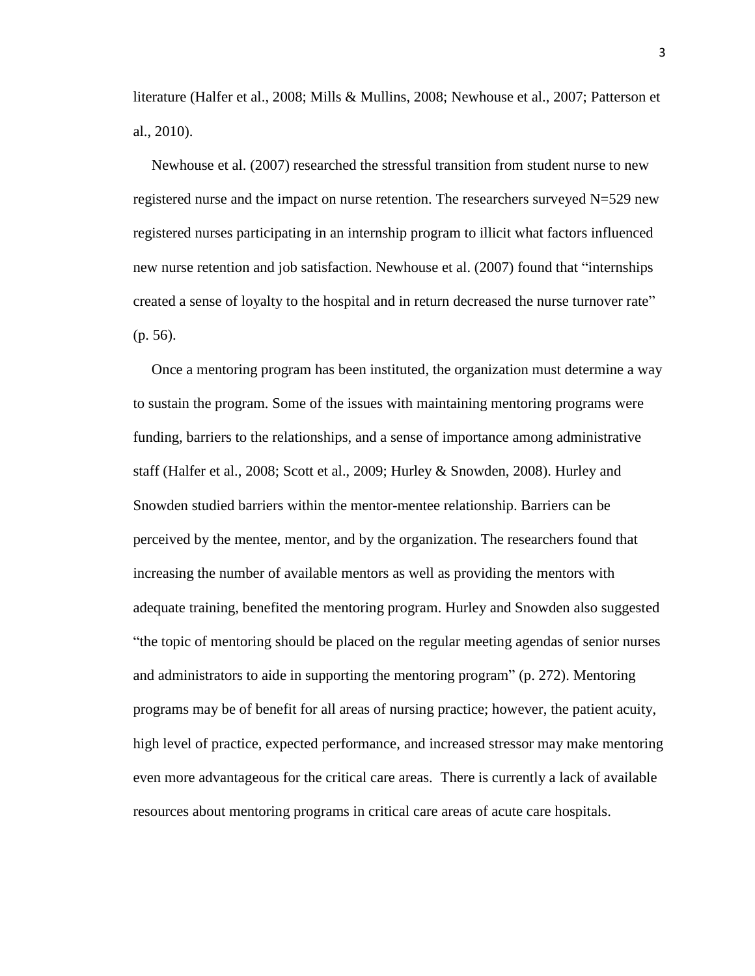literature (Halfer et al., 2008; Mills & Mullins, 2008; Newhouse et al., 2007; Patterson et al., 2010).

 Newhouse et al. (2007) researched the stressful transition from student nurse to new registered nurse and the impact on nurse retention. The researchers surveyed N=529 new registered nurses participating in an internship program to illicit what factors influenced new nurse retention and job satisfaction. Newhouse et al. (2007) found that "internships created a sense of loyalty to the hospital and in return decreased the nurse turnover rate" (p. 56).

 Once a mentoring program has been instituted, the organization must determine a way to sustain the program. Some of the issues with maintaining mentoring programs were funding, barriers to the relationships, and a sense of importance among administrative staff (Halfer et al., 2008; Scott et al., 2009; Hurley & Snowden, 2008). Hurley and Snowden studied barriers within the mentor-mentee relationship. Barriers can be perceived by the mentee, mentor, and by the organization. The researchers found that increasing the number of available mentors as well as providing the mentors with adequate training, benefited the mentoring program. Hurley and Snowden also suggested "the topic of mentoring should be placed on the regular meeting agendas of senior nurses and administrators to aide in supporting the mentoring program" (p. 272). Mentoring programs may be of benefit for all areas of nursing practice; however, the patient acuity, high level of practice, expected performance, and increased stressor may make mentoring even more advantageous for the critical care areas. There is currently a lack of available resources about mentoring programs in critical care areas of acute care hospitals.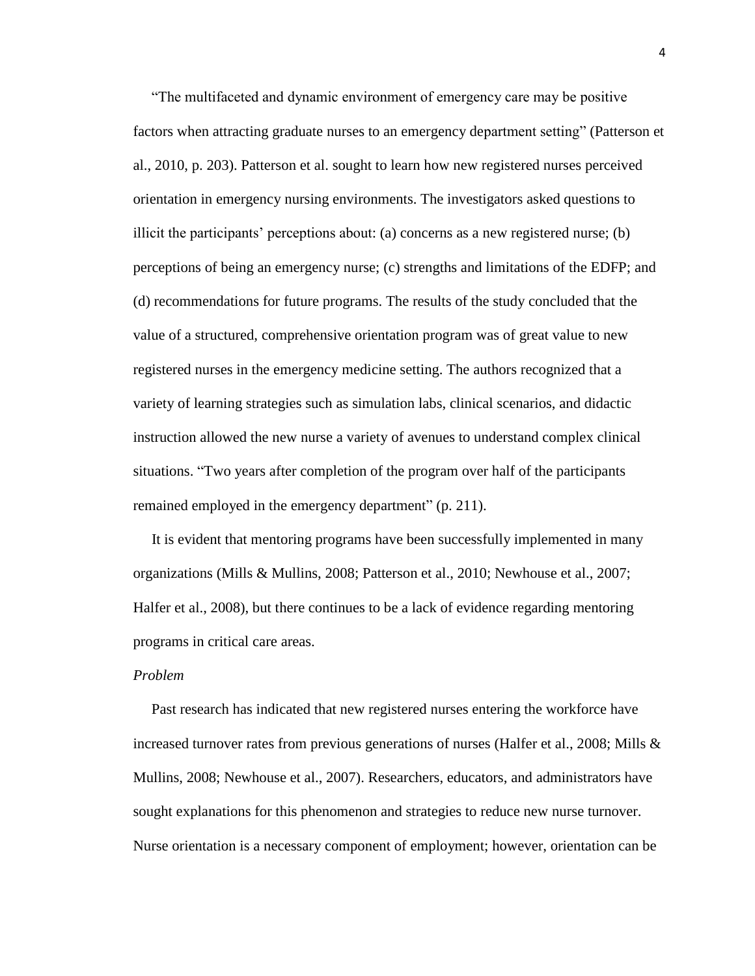"The multifaceted and dynamic environment of emergency care may be positive factors when attracting graduate nurses to an emergency department setting" (Patterson et al., 2010, p. 203). Patterson et al. sought to learn how new registered nurses perceived orientation in emergency nursing environments. The investigators asked questions to illicit the participants' perceptions about: (a) concerns as a new registered nurse; (b) perceptions of being an emergency nurse; (c) strengths and limitations of the EDFP; and (d) recommendations for future programs. The results of the study concluded that the value of a structured, comprehensive orientation program was of great value to new registered nurses in the emergency medicine setting. The authors recognized that a variety of learning strategies such as simulation labs, clinical scenarios, and didactic instruction allowed the new nurse a variety of avenues to understand complex clinical situations. "Two years after completion of the program over half of the participants remained employed in the emergency department" (p. 211).

 It is evident that mentoring programs have been successfully implemented in many organizations (Mills & Mullins, 2008; Patterson et al., 2010; Newhouse et al., 2007; Halfer et al., 2008), but there continues to be a lack of evidence regarding mentoring programs in critical care areas.

## *Problem*

Past research has indicated that new registered nurses entering the workforce have increased turnover rates from previous generations of nurses (Halfer et al., 2008; Mills & Mullins, 2008; Newhouse et al., 2007). Researchers, educators, and administrators have sought explanations for this phenomenon and strategies to reduce new nurse turnover. Nurse orientation is a necessary component of employment; however, orientation can be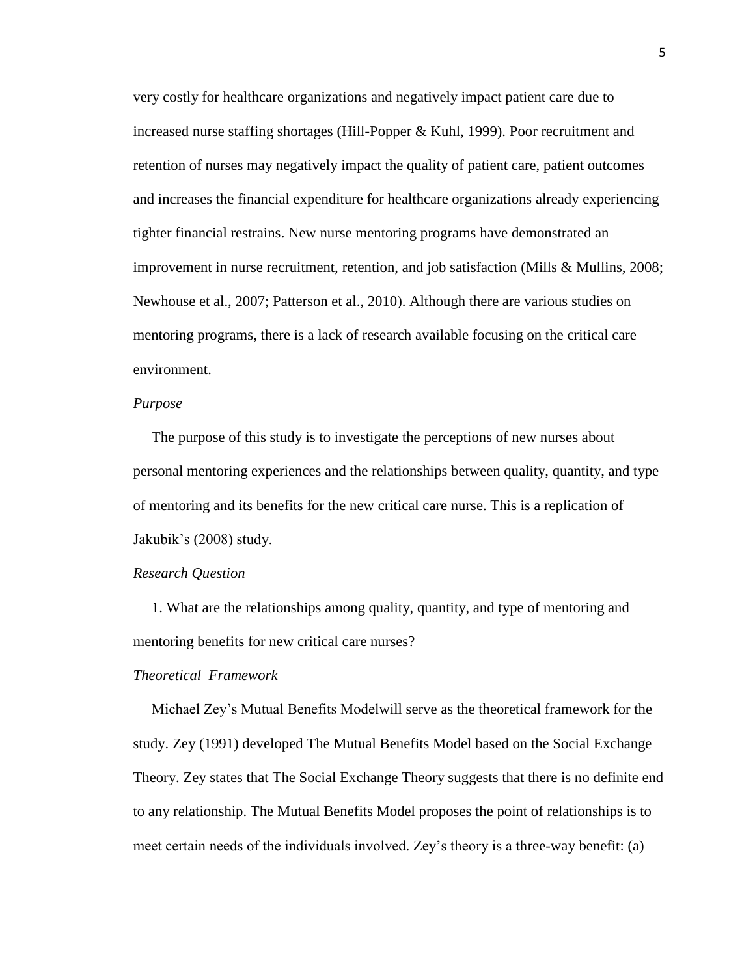very costly for healthcare organizations and negatively impact patient care due to increased nurse staffing shortages (Hill-Popper & Kuhl, 1999). Poor recruitment and retention of nurses may negatively impact the quality of patient care, patient outcomes and increases the financial expenditure for healthcare organizations already experiencing tighter financial restrains. New nurse mentoring programs have demonstrated an improvement in nurse recruitment, retention, and job satisfaction (Mills & Mullins, 2008; Newhouse et al., 2007; Patterson et al., 2010). Although there are various studies on mentoring programs, there is a lack of research available focusing on the critical care environment.

### *Purpose*

The purpose of this study is to investigate the perceptions of new nurses about personal mentoring experiences and the relationships between quality, quantity, and type of mentoring and its benefits for the new critical care nurse. This is a replication of Jakubik"s (2008) study.

#### *Research Question*

1. What are the relationships among quality, quantity, and type of mentoring and mentoring benefits for new critical care nurses?

## *Theoretical Framework*

Michael Zey"s Mutual Benefits Modelwill serve as the theoretical framework for the study. Zey (1991) developed The Mutual Benefits Model based on the Social Exchange Theory. Zey states that The Social Exchange Theory suggests that there is no definite end to any relationship. The Mutual Benefits Model proposes the point of relationships is to meet certain needs of the individuals involved. Zey"s theory is a three-way benefit: (a)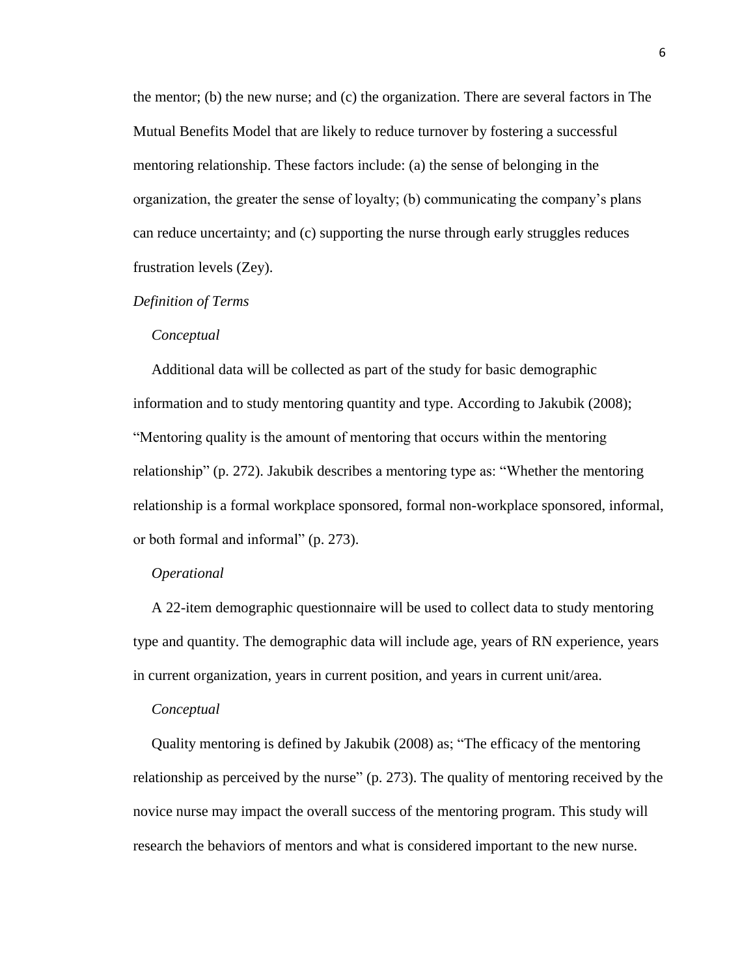the mentor; (b) the new nurse; and (c) the organization. There are several factors in The Mutual Benefits Model that are likely to reduce turnover by fostering a successful mentoring relationship. These factors include: (a) the sense of belonging in the organization, the greater the sense of loyalty; (b) communicating the company"s plans can reduce uncertainty; and (c) supporting the nurse through early struggles reduces frustration levels (Zey).

### *Definition of Terms*

## *Conceptual*

Additional data will be collected as part of the study for basic demographic information and to study mentoring quantity and type. According to Jakubik (2008); "Mentoring quality is the amount of mentoring that occurs within the mentoring relationship" (p. 272). Jakubik describes a mentoring type as: "Whether the mentoring relationship is a formal workplace sponsored, formal non-workplace sponsored, informal, or both formal and informal" (p. 273).

## *Operational*

A 22-item demographic questionnaire will be used to collect data to study mentoring type and quantity. The demographic data will include age, years of RN experience, years in current organization, years in current position, and years in current unit/area.

#### *Conceptual*

Quality mentoring is defined by Jakubik (2008) as; "The efficacy of the mentoring relationship as perceived by the nurse" (p. 273). The quality of mentoring received by the novice nurse may impact the overall success of the mentoring program. This study will research the behaviors of mentors and what is considered important to the new nurse.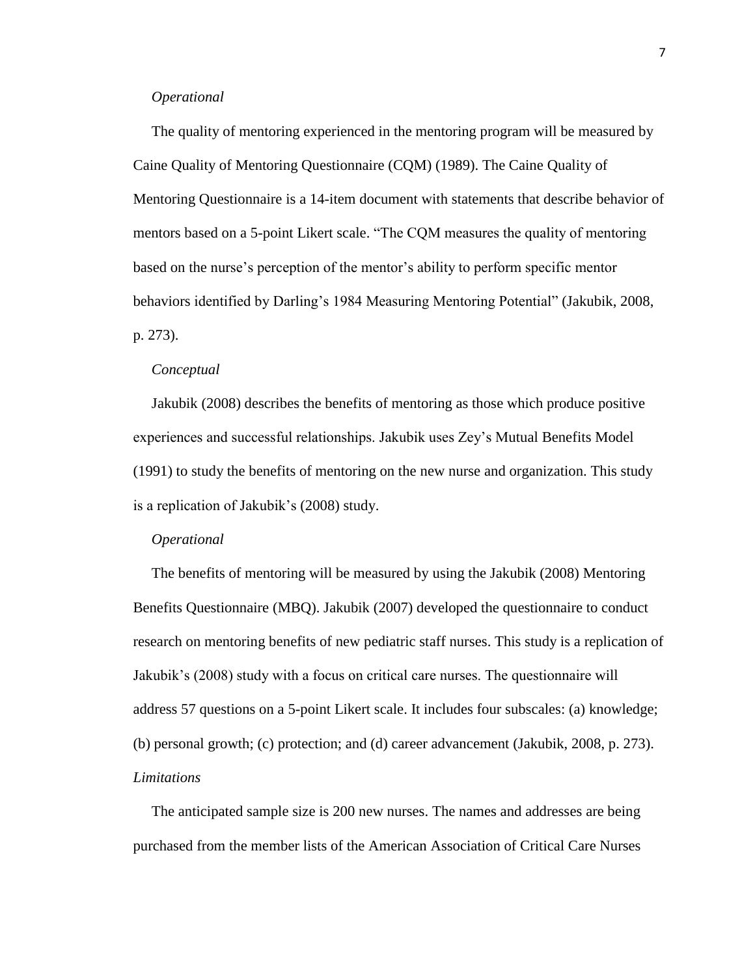#### *Operational*

 The quality of mentoring experienced in the mentoring program will be measured by Caine Quality of Mentoring Questionnaire (CQM) (1989). The Caine Quality of Mentoring Questionnaire is a 14-item document with statements that describe behavior of mentors based on a 5-point Likert scale. "The CQM measures the quality of mentoring based on the nurse"s perception of the mentor"s ability to perform specific mentor behaviors identified by Darling"s 1984 Measuring Mentoring Potential" (Jakubik, 2008, p. 273).

#### *Conceptual*

 Jakubik (2008) describes the benefits of mentoring as those which produce positive experiences and successful relationships. Jakubik uses Zey"s Mutual Benefits Model (1991) to study the benefits of mentoring on the new nurse and organization. This study is a replication of Jakubik"s (2008) study.

#### *Operational*

The benefits of mentoring will be measured by using the Jakubik (2008) Mentoring Benefits Questionnaire (MBQ). Jakubik (2007) developed the questionnaire to conduct research on mentoring benefits of new pediatric staff nurses. This study is a replication of Jakubik"s (2008) study with a focus on critical care nurses. The questionnaire will address 57 questions on a 5-point Likert scale. It includes four subscales: (a) knowledge; (b) personal growth; (c) protection; and (d) career advancement (Jakubik, 2008, p. 273). *Limitations*

 The anticipated sample size is 200 new nurses. The names and addresses are being purchased from the member lists of the American Association of Critical Care Nurses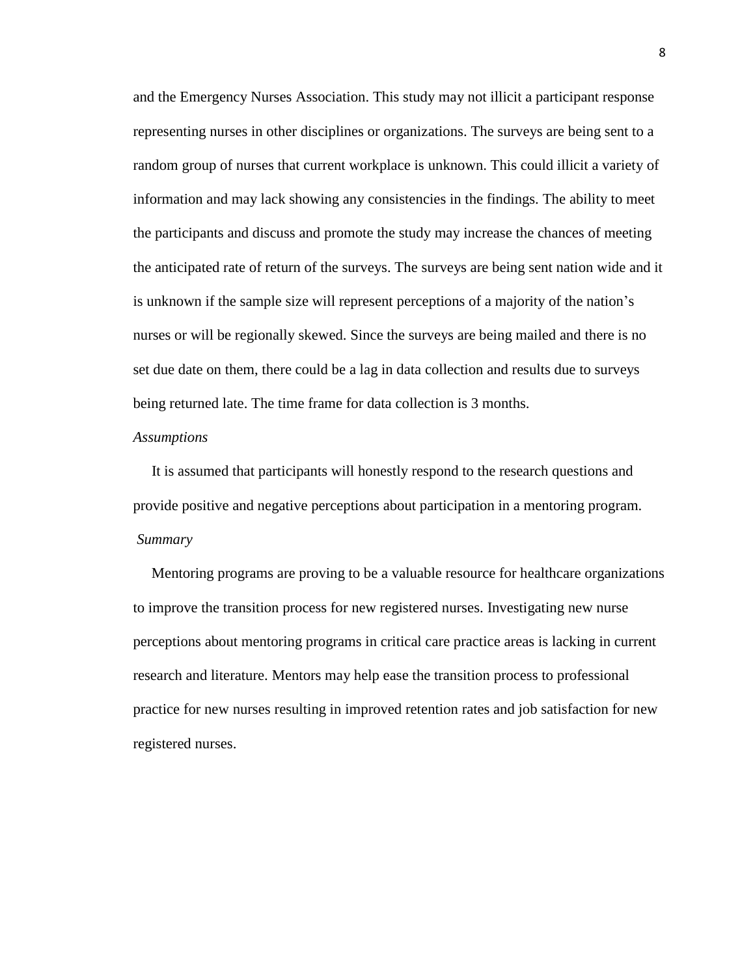and the Emergency Nurses Association. This study may not illicit a participant response representing nurses in other disciplines or organizations. The surveys are being sent to a random group of nurses that current workplace is unknown. This could illicit a variety of information and may lack showing any consistencies in the findings. The ability to meet the participants and discuss and promote the study may increase the chances of meeting the anticipated rate of return of the surveys. The surveys are being sent nation wide and it is unknown if the sample size will represent perceptions of a majority of the nation"s nurses or will be regionally skewed. Since the surveys are being mailed and there is no set due date on them, there could be a lag in data collection and results due to surveys being returned late. The time frame for data collection is 3 months.

#### *Assumptions*

 It is assumed that participants will honestly respond to the research questions and provide positive and negative perceptions about participation in a mentoring program. *Summary*

 Mentoring programs are proving to be a valuable resource for healthcare organizations to improve the transition process for new registered nurses. Investigating new nurse perceptions about mentoring programs in critical care practice areas is lacking in current research and literature. Mentors may help ease the transition process to professional practice for new nurses resulting in improved retention rates and job satisfaction for new registered nurses.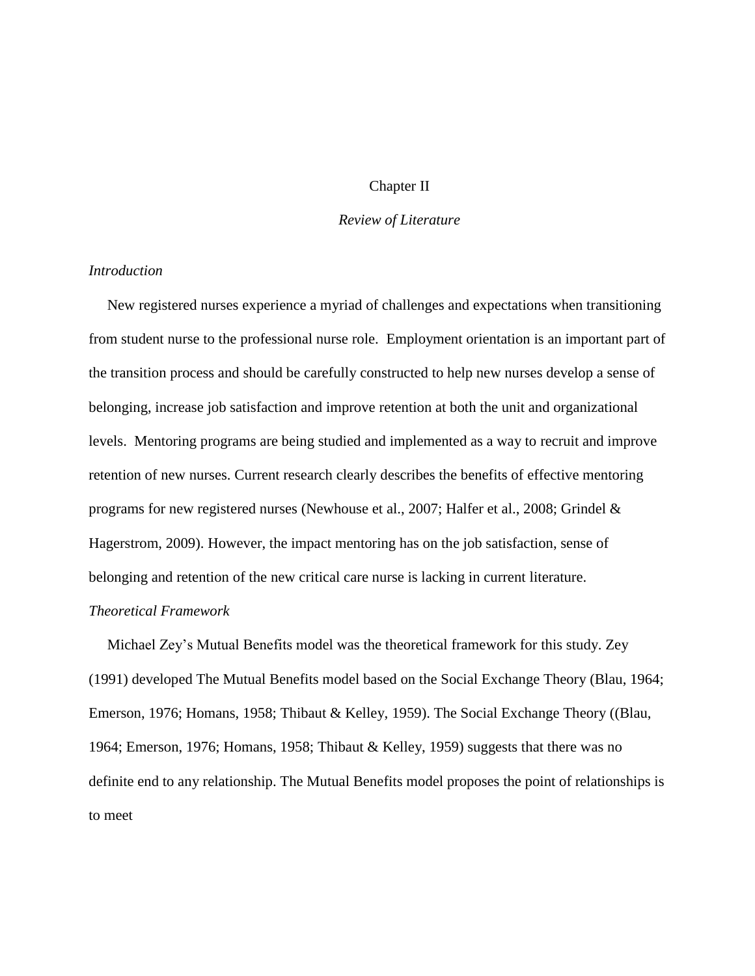# Chapter II

# *Review of Literature*

# *Introduction*

New registered nurses experience a myriad of challenges and expectations when transitioning from student nurse to the professional nurse role. Employment orientation is an important part of the transition process and should be carefully constructed to help new nurses develop a sense of belonging, increase job satisfaction and improve retention at both the unit and organizational levels. Mentoring programs are being studied and implemented as a way to recruit and improve retention of new nurses. Current research clearly describes the benefits of effective mentoring programs for new registered nurses (Newhouse et al., 2007; Halfer et al., 2008; Grindel & Hagerstrom, 2009). However, the impact mentoring has on the job satisfaction, sense of belonging and retention of the new critical care nurse is lacking in current literature.

# *Theoretical Framework*

 Michael Zey"s Mutual Benefits model was the theoretical framework for this study. Zey (1991) developed The Mutual Benefits model based on the Social Exchange Theory (Blau, 1964; Emerson, 1976; Homans, 1958; Thibaut & Kelley, 1959). The Social Exchange Theory ((Blau, 1964; Emerson, 1976; Homans, 1958; Thibaut & Kelley, 1959) suggests that there was no definite end to any relationship. The Mutual Benefits model proposes the point of relationships is to meet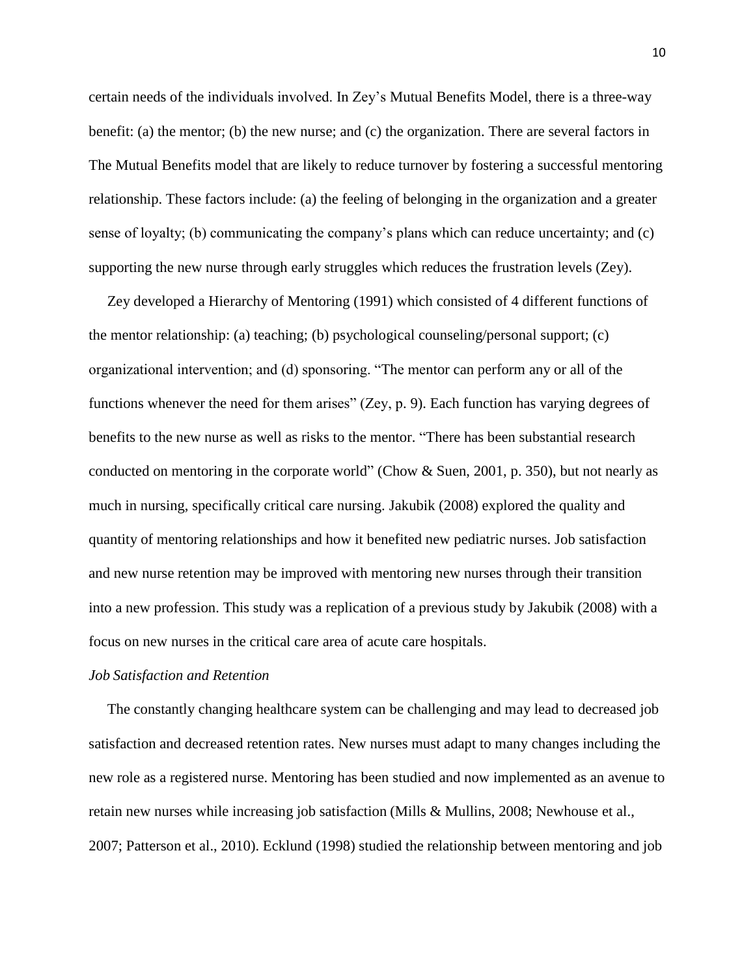certain needs of the individuals involved. In Zey"s Mutual Benefits Model, there is a three-way benefit: (a) the mentor; (b) the new nurse; and (c) the organization. There are several factors in The Mutual Benefits model that are likely to reduce turnover by fostering a successful mentoring relationship. These factors include: (a) the feeling of belonging in the organization and a greater sense of loyalty; (b) communicating the company"s plans which can reduce uncertainty; and (c) supporting the new nurse through early struggles which reduces the frustration levels (Zey).

 Zey developed a Hierarchy of Mentoring (1991) which consisted of 4 different functions of the mentor relationship: (a) teaching; (b) psychological counseling/personal support; (c) organizational intervention; and (d) sponsoring. "The mentor can perform any or all of the functions whenever the need for them arises" (Zey, p. 9). Each function has varying degrees of benefits to the new nurse as well as risks to the mentor. "There has been substantial research conducted on mentoring in the corporate world" (Chow & Suen, 2001, p. 350), but not nearly as much in nursing, specifically critical care nursing. Jakubik (2008) explored the quality and quantity of mentoring relationships and how it benefited new pediatric nurses. Job satisfaction and new nurse retention may be improved with mentoring new nurses through their transition into a new profession. This study was a replication of a previous study by Jakubik (2008) with a focus on new nurses in the critical care area of acute care hospitals.

## *Job Satisfaction and Retention*

 The constantly changing healthcare system can be challenging and may lead to decreased job satisfaction and decreased retention rates. New nurses must adapt to many changes including the new role as a registered nurse. Mentoring has been studied and now implemented as an avenue to retain new nurses while increasing job satisfaction (Mills & Mullins, 2008; Newhouse et al., 2007; Patterson et al., 2010). Ecklund (1998) studied the relationship between mentoring and job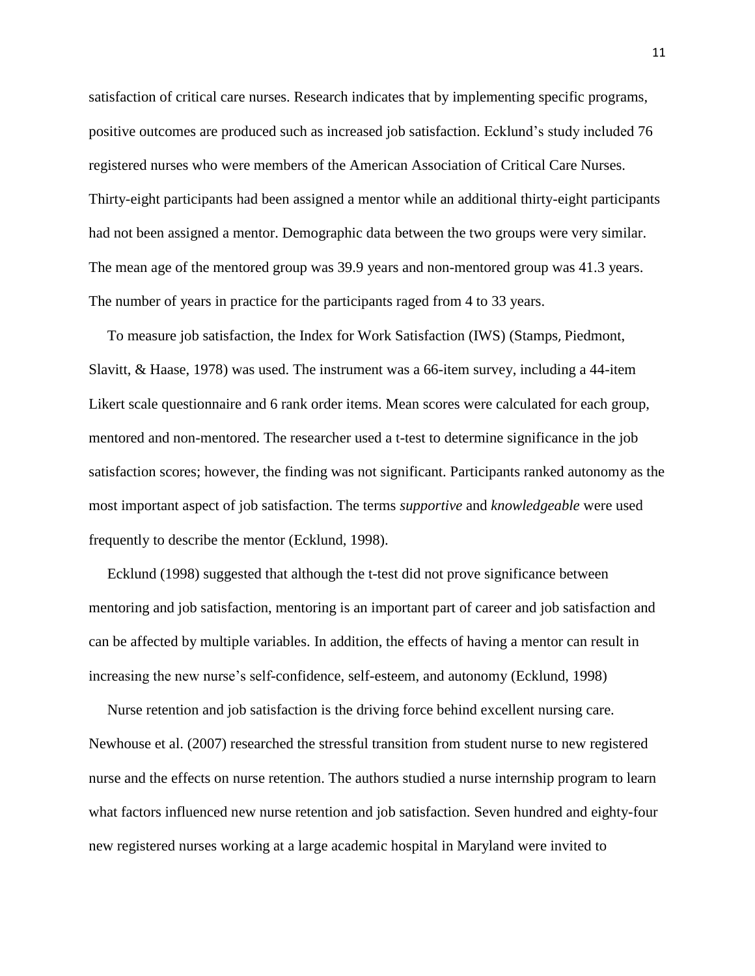satisfaction of critical care nurses. Research indicates that by implementing specific programs, positive outcomes are produced such as increased job satisfaction. Ecklund"s study included 76 registered nurses who were members of the American Association of Critical Care Nurses. Thirty-eight participants had been assigned a mentor while an additional thirty-eight participants had not been assigned a mentor. Demographic data between the two groups were very similar. The mean age of the mentored group was 39.9 years and non-mentored group was 41.3 years. The number of years in practice for the participants raged from 4 to 33 years.

 To measure job satisfaction, the Index for Work Satisfaction (IWS) (Stamps, Piedmont, Slavitt, & Haase, 1978) was used. The instrument was a 66-item survey, including a 44-item Likert scale questionnaire and 6 rank order items. Mean scores were calculated for each group, mentored and non-mentored. The researcher used a t-test to determine significance in the job satisfaction scores; however, the finding was not significant. Participants ranked autonomy as the most important aspect of job satisfaction. The terms *supportive* and *knowledgeable* were used frequently to describe the mentor (Ecklund, 1998).

 Ecklund (1998) suggested that although the t-test did not prove significance between mentoring and job satisfaction, mentoring is an important part of career and job satisfaction and can be affected by multiple variables. In addition, the effects of having a mentor can result in increasing the new nurse"s self-confidence, self-esteem, and autonomy (Ecklund, 1998)

 Nurse retention and job satisfaction is the driving force behind excellent nursing care. Newhouse et al. (2007) researched the stressful transition from student nurse to new registered nurse and the effects on nurse retention. The authors studied a nurse internship program to learn what factors influenced new nurse retention and job satisfaction. Seven hundred and eighty-four new registered nurses working at a large academic hospital in Maryland were invited to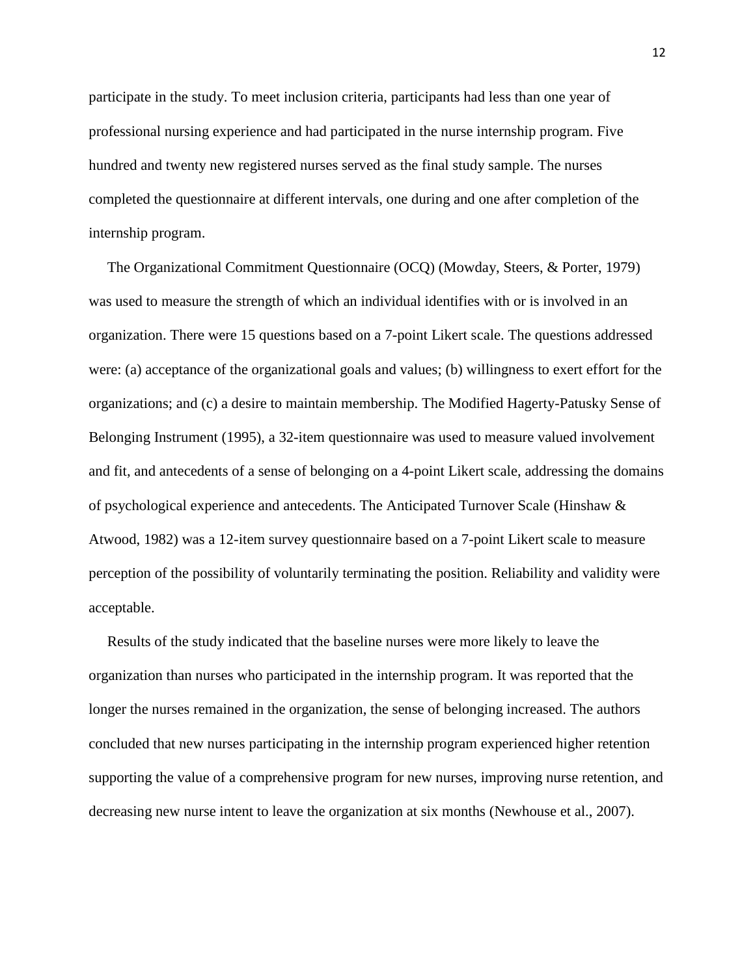participate in the study. To meet inclusion criteria, participants had less than one year of professional nursing experience and had participated in the nurse internship program. Five hundred and twenty new registered nurses served as the final study sample. The nurses completed the questionnaire at different intervals, one during and one after completion of the internship program.

 The Organizational Commitment Questionnaire (OCQ) (Mowday, Steers, & Porter, 1979) was used to measure the strength of which an individual identifies with or is involved in an organization. There were 15 questions based on a 7-point Likert scale. The questions addressed were: (a) acceptance of the organizational goals and values; (b) willingness to exert effort for the organizations; and (c) a desire to maintain membership. The Modified Hagerty-Patusky Sense of Belonging Instrument (1995), a 32-item questionnaire was used to measure valued involvement and fit, and antecedents of a sense of belonging on a 4-point Likert scale, addressing the domains of psychological experience and antecedents. The Anticipated Turnover Scale (Hinshaw & Atwood, 1982) was a 12-item survey questionnaire based on a 7-point Likert scale to measure perception of the possibility of voluntarily terminating the position. Reliability and validity were acceptable.

 Results of the study indicated that the baseline nurses were more likely to leave the organization than nurses who participated in the internship program. It was reported that the longer the nurses remained in the organization, the sense of belonging increased. The authors concluded that new nurses participating in the internship program experienced higher retention supporting the value of a comprehensive program for new nurses, improving nurse retention, and decreasing new nurse intent to leave the organization at six months (Newhouse et al., 2007).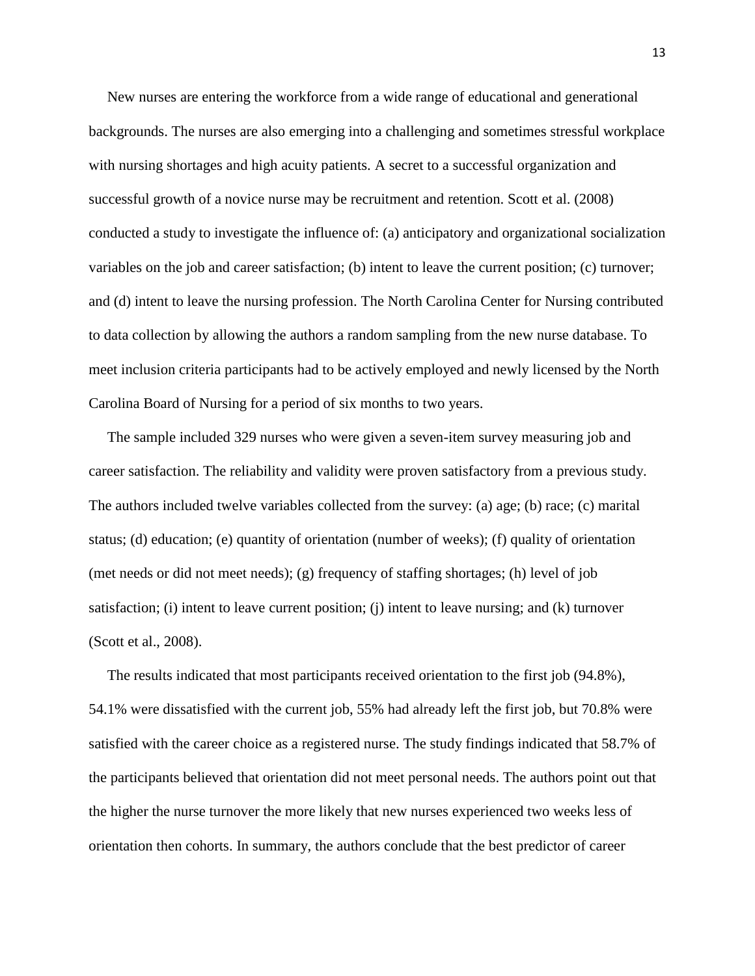New nurses are entering the workforce from a wide range of educational and generational backgrounds. The nurses are also emerging into a challenging and sometimes stressful workplace with nursing shortages and high acuity patients. A secret to a successful organization and successful growth of a novice nurse may be recruitment and retention. Scott et al. (2008) conducted a study to investigate the influence of: (a) anticipatory and organizational socialization variables on the job and career satisfaction; (b) intent to leave the current position; (c) turnover; and (d) intent to leave the nursing profession. The North Carolina Center for Nursing contributed to data collection by allowing the authors a random sampling from the new nurse database. To meet inclusion criteria participants had to be actively employed and newly licensed by the North Carolina Board of Nursing for a period of six months to two years.

 The sample included 329 nurses who were given a seven-item survey measuring job and career satisfaction. The reliability and validity were proven satisfactory from a previous study. The authors included twelve variables collected from the survey: (a) age; (b) race; (c) marital status; (d) education; (e) quantity of orientation (number of weeks); (f) quality of orientation (met needs or did not meet needs); (g) frequency of staffing shortages; (h) level of job satisfaction; (i) intent to leave current position; (j) intent to leave nursing; and (k) turnover (Scott et al., 2008).

 The results indicated that most participants received orientation to the first job (94.8%), 54.1% were dissatisfied with the current job, 55% had already left the first job, but 70.8% were satisfied with the career choice as a registered nurse. The study findings indicated that 58.7% of the participants believed that orientation did not meet personal needs. The authors point out that the higher the nurse turnover the more likely that new nurses experienced two weeks less of orientation then cohorts. In summary, the authors conclude that the best predictor of career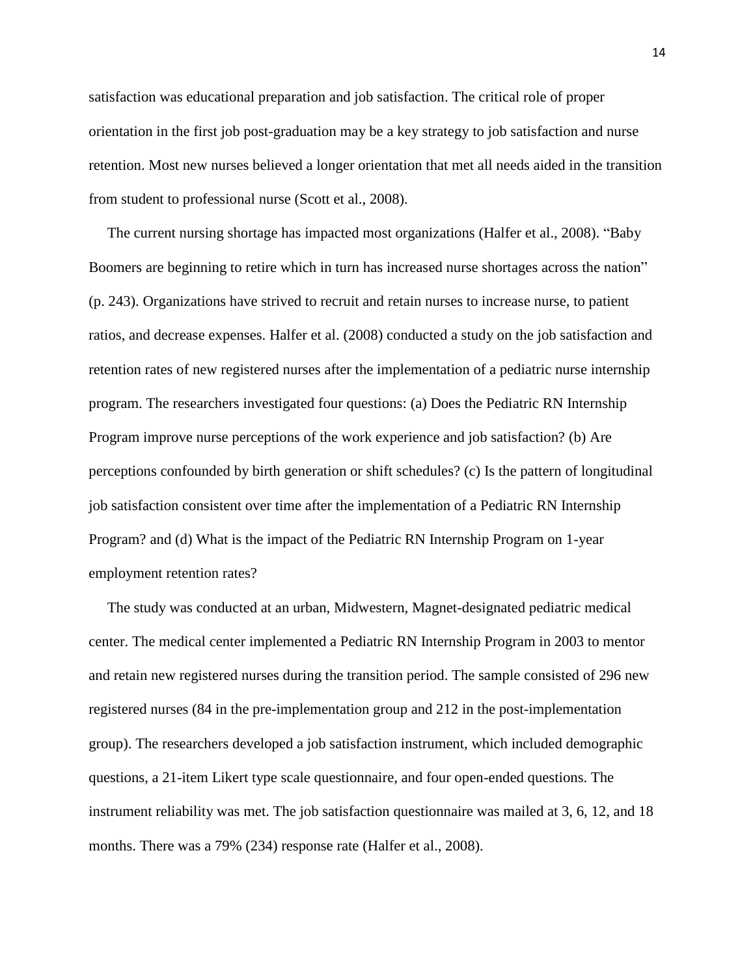satisfaction was educational preparation and job satisfaction. The critical role of proper orientation in the first job post-graduation may be a key strategy to job satisfaction and nurse retention. Most new nurses believed a longer orientation that met all needs aided in the transition from student to professional nurse (Scott et al., 2008).

The current nursing shortage has impacted most organizations (Halfer et al., 2008). "Baby Boomers are beginning to retire which in turn has increased nurse shortages across the nation" (p. 243). Organizations have strived to recruit and retain nurses to increase nurse, to patient ratios, and decrease expenses. Halfer et al. (2008) conducted a study on the job satisfaction and retention rates of new registered nurses after the implementation of a pediatric nurse internship program. The researchers investigated four questions: (a) Does the Pediatric RN Internship Program improve nurse perceptions of the work experience and job satisfaction? (b) Are perceptions confounded by birth generation or shift schedules? (c) Is the pattern of longitudinal job satisfaction consistent over time after the implementation of a Pediatric RN Internship Program? and (d) What is the impact of the Pediatric RN Internship Program on 1-year employment retention rates?

 The study was conducted at an urban, Midwestern, Magnet-designated pediatric medical center. The medical center implemented a Pediatric RN Internship Program in 2003 to mentor and retain new registered nurses during the transition period. The sample consisted of 296 new registered nurses (84 in the pre-implementation group and 212 in the post-implementation group). The researchers developed a job satisfaction instrument, which included demographic questions, a 21-item Likert type scale questionnaire, and four open-ended questions. The instrument reliability was met. The job satisfaction questionnaire was mailed at 3, 6, 12, and 18 months. There was a 79% (234) response rate (Halfer et al., 2008).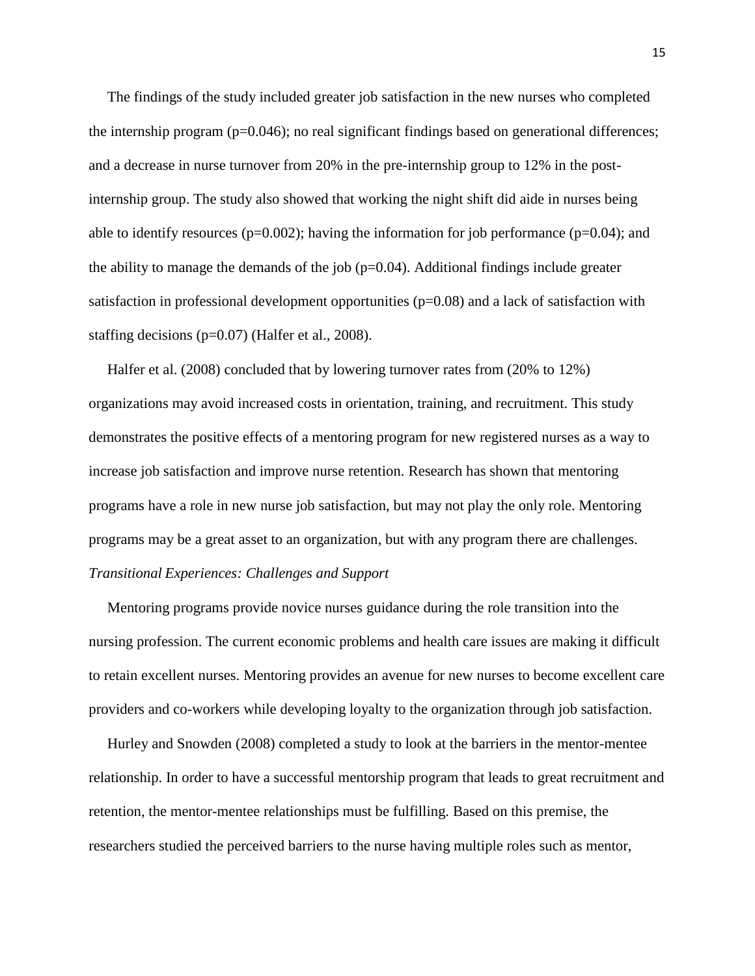The findings of the study included greater job satisfaction in the new nurses who completed the internship program  $(p=0.046)$ ; no real significant findings based on generational differences; and a decrease in nurse turnover from 20% in the pre-internship group to 12% in the postinternship group. The study also showed that working the night shift did aide in nurses being able to identify resources ( $p=0.002$ ); having the information for job performance ( $p=0.04$ ); and the ability to manage the demands of the job ( $p=0.04$ ). Additional findings include greater satisfaction in professional development opportunities (p=0.08) and a lack of satisfaction with staffing decisions (p=0.07) (Halfer et al., 2008).

 Halfer et al. (2008) concluded that by lowering turnover rates from (20% to 12%) organizations may avoid increased costs in orientation, training, and recruitment. This study demonstrates the positive effects of a mentoring program for new registered nurses as a way to increase job satisfaction and improve nurse retention. Research has shown that mentoring programs have a role in new nurse job satisfaction, but may not play the only role. Mentoring programs may be a great asset to an organization, but with any program there are challenges. *Transitional Experiences: Challenges and Support*

 Mentoring programs provide novice nurses guidance during the role transition into the nursing profession. The current economic problems and health care issues are making it difficult to retain excellent nurses. Mentoring provides an avenue for new nurses to become excellent care providers and co-workers while developing loyalty to the organization through job satisfaction.

 Hurley and Snowden (2008) completed a study to look at the barriers in the mentor-mentee relationship. In order to have a successful mentorship program that leads to great recruitment and retention, the mentor-mentee relationships must be fulfilling. Based on this premise, the researchers studied the perceived barriers to the nurse having multiple roles such as mentor,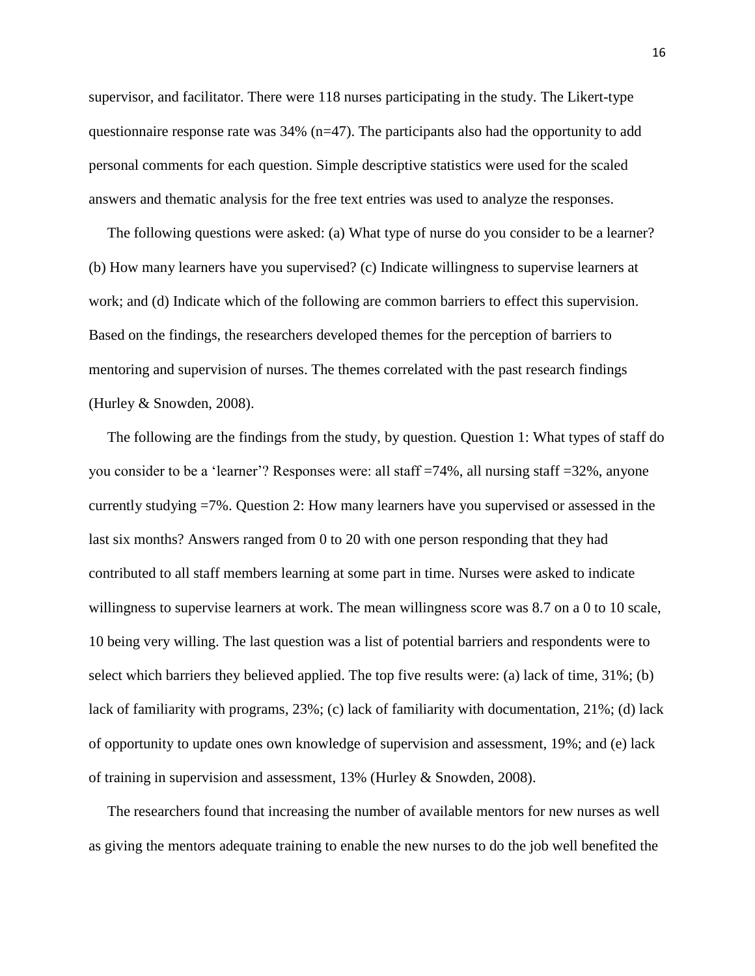supervisor, and facilitator. There were 118 nurses participating in the study. The Likert-type questionnaire response rate was  $34\%$  (n=47). The participants also had the opportunity to add personal comments for each question. Simple descriptive statistics were used for the scaled answers and thematic analysis for the free text entries was used to analyze the responses.

 The following questions were asked: (a) What type of nurse do you consider to be a learner? (b) How many learners have you supervised? (c) Indicate willingness to supervise learners at work; and (d) Indicate which of the following are common barriers to effect this supervision. Based on the findings, the researchers developed themes for the perception of barriers to mentoring and supervision of nurses. The themes correlated with the past research findings (Hurley & Snowden, 2008).

 The following are the findings from the study, by question. Question 1: What types of staff do you consider to be a "learner"? Responses were: all staff =74%, all nursing staff =32%, anyone currently studying =7%. Question 2: How many learners have you supervised or assessed in the last six months? Answers ranged from 0 to 20 with one person responding that they had contributed to all staff members learning at some part in time. Nurses were asked to indicate willingness to supervise learners at work. The mean willingness score was 8.7 on a 0 to 10 scale, 10 being very willing. The last question was a list of potential barriers and respondents were to select which barriers they believed applied. The top five results were: (a) lack of time, 31%; (b) lack of familiarity with programs, 23%; (c) lack of familiarity with documentation, 21%; (d) lack of opportunity to update ones own knowledge of supervision and assessment, 19%; and (e) lack of training in supervision and assessment, 13% (Hurley & Snowden, 2008).

 The researchers found that increasing the number of available mentors for new nurses as well as giving the mentors adequate training to enable the new nurses to do the job well benefited the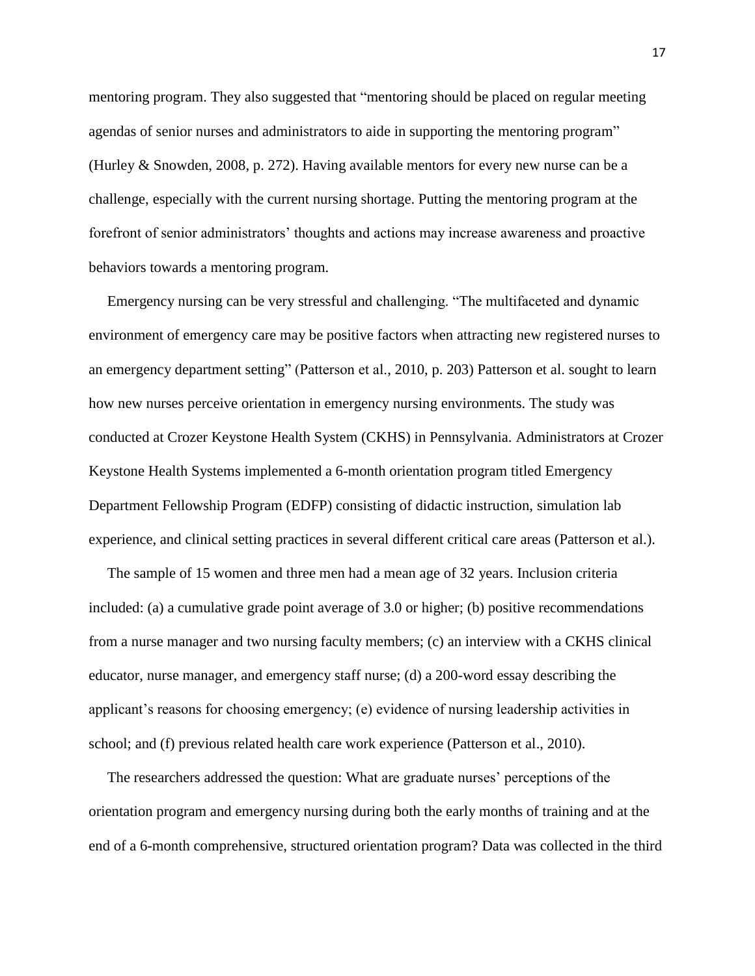mentoring program. They also suggested that "mentoring should be placed on regular meeting agendas of senior nurses and administrators to aide in supporting the mentoring program" (Hurley & Snowden, 2008, p. 272). Having available mentors for every new nurse can be a challenge, especially with the current nursing shortage. Putting the mentoring program at the forefront of senior administrators" thoughts and actions may increase awareness and proactive behaviors towards a mentoring program.

 Emergency nursing can be very stressful and challenging. "The multifaceted and dynamic environment of emergency care may be positive factors when attracting new registered nurses to an emergency department setting" (Patterson et al., 2010, p. 203) Patterson et al. sought to learn how new nurses perceive orientation in emergency nursing environments. The study was conducted at Crozer Keystone Health System (CKHS) in Pennsylvania. Administrators at Crozer Keystone Health Systems implemented a 6-month orientation program titled Emergency Department Fellowship Program (EDFP) consisting of didactic instruction, simulation lab experience, and clinical setting practices in several different critical care areas (Patterson et al.).

 The sample of 15 women and three men had a mean age of 32 years. Inclusion criteria included: (a) a cumulative grade point average of 3.0 or higher; (b) positive recommendations from a nurse manager and two nursing faculty members; (c) an interview with a CKHS clinical educator, nurse manager, and emergency staff nurse; (d) a 200-word essay describing the applicant"s reasons for choosing emergency; (e) evidence of nursing leadership activities in school; and (f) previous related health care work experience (Patterson et al., 2010).

The researchers addressed the question: What are graduate nurses' perceptions of the orientation program and emergency nursing during both the early months of training and at the end of a 6-month comprehensive, structured orientation program? Data was collected in the third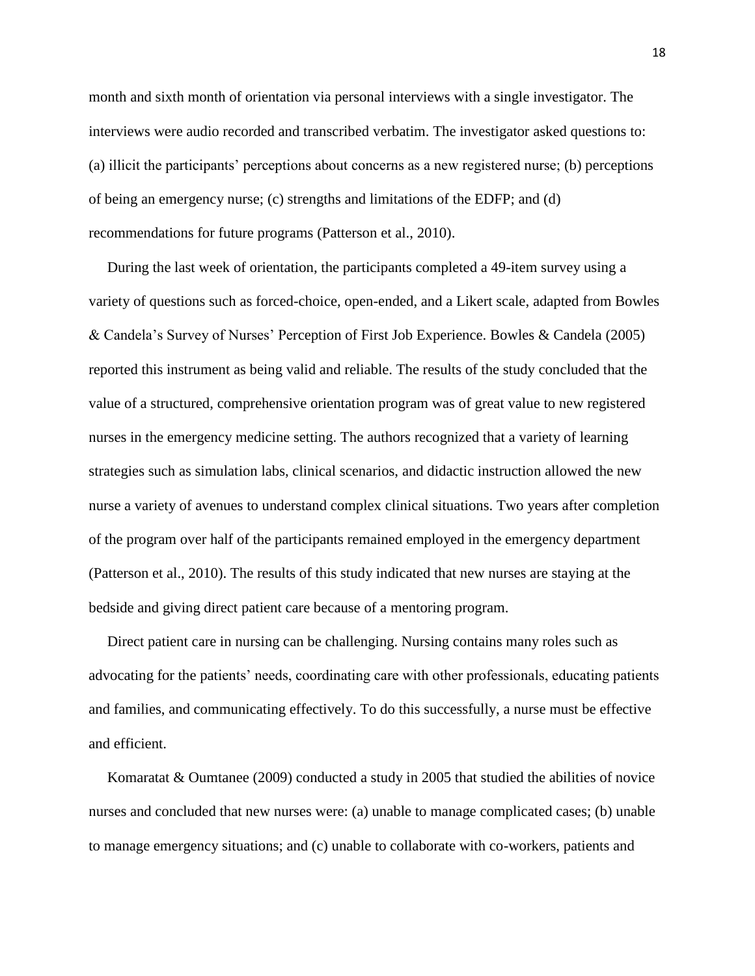month and sixth month of orientation via personal interviews with a single investigator. The interviews were audio recorded and transcribed verbatim. The investigator asked questions to: (a) illicit the participants" perceptions about concerns as a new registered nurse; (b) perceptions of being an emergency nurse; (c) strengths and limitations of the EDFP; and (d) recommendations for future programs (Patterson et al., 2010).

 During the last week of orientation, the participants completed a 49-item survey using a variety of questions such as forced-choice, open-ended, and a Likert scale, adapted from Bowles & Candela"s Survey of Nurses" Perception of First Job Experience. Bowles & Candela (2005) reported this instrument as being valid and reliable. The results of the study concluded that the value of a structured, comprehensive orientation program was of great value to new registered nurses in the emergency medicine setting. The authors recognized that a variety of learning strategies such as simulation labs, clinical scenarios, and didactic instruction allowed the new nurse a variety of avenues to understand complex clinical situations. Two years after completion of the program over half of the participants remained employed in the emergency department (Patterson et al., 2010). The results of this study indicated that new nurses are staying at the bedside and giving direct patient care because of a mentoring program.

 Direct patient care in nursing can be challenging. Nursing contains many roles such as advocating for the patients" needs, coordinating care with other professionals, educating patients and families, and communicating effectively. To do this successfully, a nurse must be effective and efficient.

 Komaratat & Oumtanee (2009) conducted a study in 2005 that studied the abilities of novice nurses and concluded that new nurses were: (a) unable to manage complicated cases; (b) unable to manage emergency situations; and (c) unable to collaborate with co-workers, patients and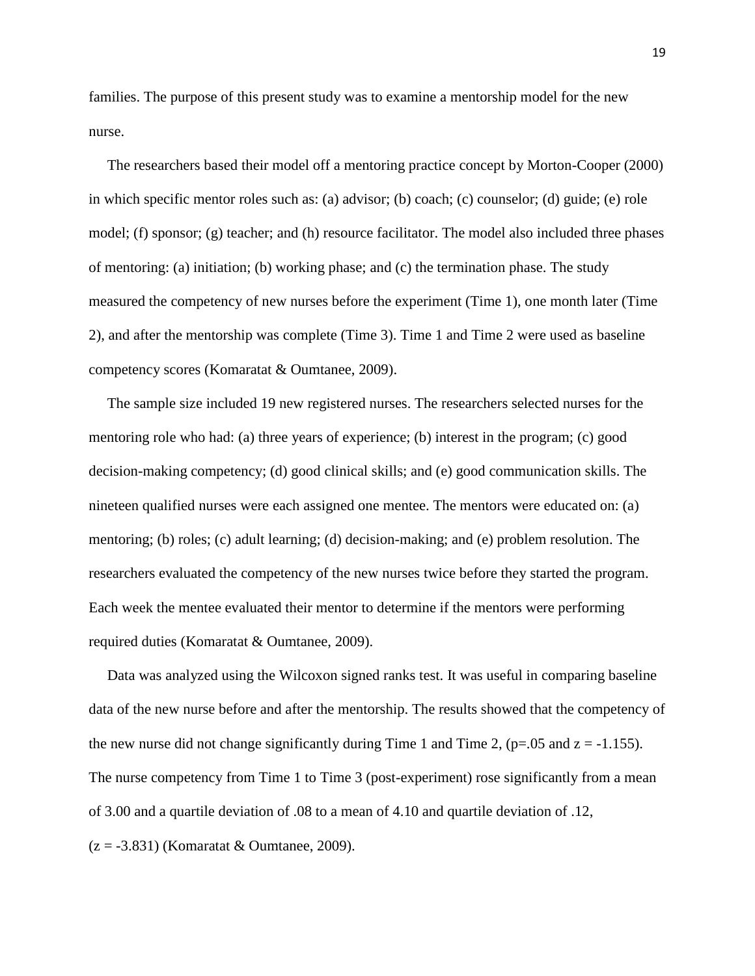families. The purpose of this present study was to examine a mentorship model for the new nurse.

 The researchers based their model off a mentoring practice concept by Morton-Cooper (2000) in which specific mentor roles such as: (a) advisor; (b) coach; (c) counselor; (d) guide; (e) role model; (f) sponsor; (g) teacher; and (h) resource facilitator. The model also included three phases of mentoring: (a) initiation; (b) working phase; and (c) the termination phase. The study measured the competency of new nurses before the experiment (Time 1), one month later (Time 2), and after the mentorship was complete (Time 3). Time 1 and Time 2 were used as baseline competency scores (Komaratat & Oumtanee, 2009).

 The sample size included 19 new registered nurses. The researchers selected nurses for the mentoring role who had: (a) three years of experience; (b) interest in the program; (c) good decision-making competency; (d) good clinical skills; and (e) good communication skills. The nineteen qualified nurses were each assigned one mentee. The mentors were educated on: (a) mentoring; (b) roles; (c) adult learning; (d) decision-making; and (e) problem resolution. The researchers evaluated the competency of the new nurses twice before they started the program. Each week the mentee evaluated their mentor to determine if the mentors were performing required duties (Komaratat & Oumtanee, 2009).

 Data was analyzed using the Wilcoxon signed ranks test. It was useful in comparing baseline data of the new nurse before and after the mentorship. The results showed that the competency of the new nurse did not change significantly during Time 1 and Time 2, ( $p=.05$  and  $z=.1.155$ ). The nurse competency from Time 1 to Time 3 (post-experiment) rose significantly from a mean of 3.00 and a quartile deviation of .08 to a mean of 4.10 and quartile deviation of .12,  $(z = -3.831)$  (Komaratat & Oumtanee, 2009).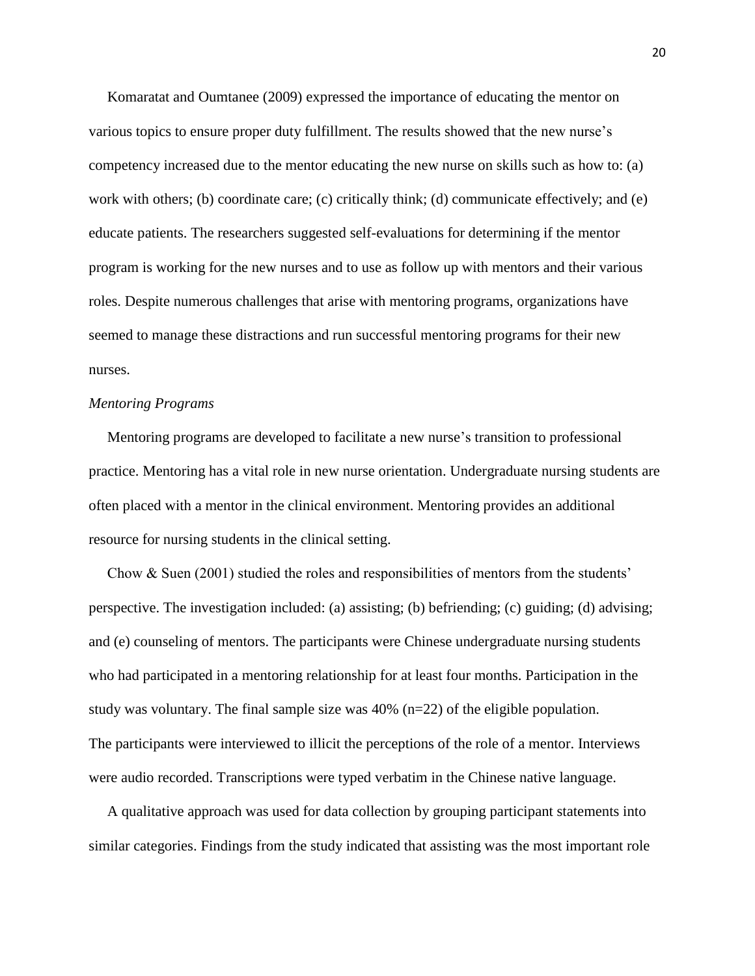Komaratat and Oumtanee (2009) expressed the importance of educating the mentor on various topics to ensure proper duty fulfillment. The results showed that the new nurse"s competency increased due to the mentor educating the new nurse on skills such as how to: (a) work with others; (b) coordinate care; (c) critically think; (d) communicate effectively; and (e) educate patients. The researchers suggested self-evaluations for determining if the mentor program is working for the new nurses and to use as follow up with mentors and their various roles. Despite numerous challenges that arise with mentoring programs, organizations have seemed to manage these distractions and run successful mentoring programs for their new nurses.

### *Mentoring Programs*

Mentoring programs are developed to facilitate a new nurse"s transition to professional practice. Mentoring has a vital role in new nurse orientation. Undergraduate nursing students are often placed with a mentor in the clinical environment. Mentoring provides an additional resource for nursing students in the clinical setting.

 Chow & Suen (2001) studied the roles and responsibilities of mentors from the students" perspective. The investigation included: (a) assisting; (b) befriending; (c) guiding; (d) advising; and (e) counseling of mentors. The participants were Chinese undergraduate nursing students who had participated in a mentoring relationship for at least four months. Participation in the study was voluntary. The final sample size was  $40\%$  (n=22) of the eligible population. The participants were interviewed to illicit the perceptions of the role of a mentor. Interviews were audio recorded. Transcriptions were typed verbatim in the Chinese native language.

 A qualitative approach was used for data collection by grouping participant statements into similar categories. Findings from the study indicated that assisting was the most important role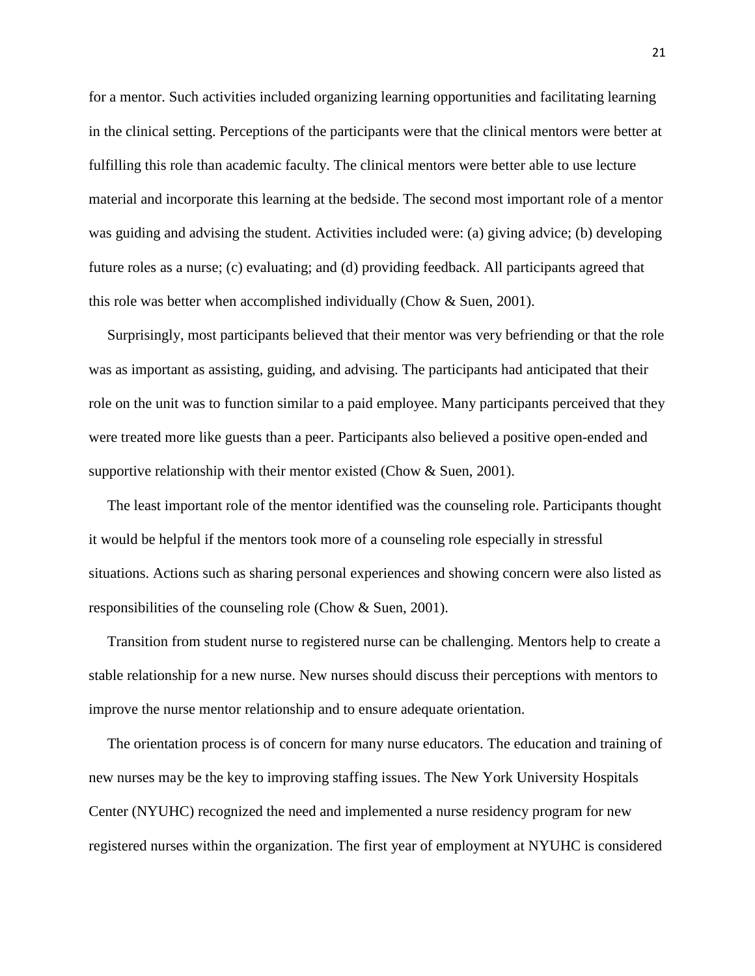for a mentor. Such activities included organizing learning opportunities and facilitating learning in the clinical setting. Perceptions of the participants were that the clinical mentors were better at fulfilling this role than academic faculty. The clinical mentors were better able to use lecture material and incorporate this learning at the bedside. The second most important role of a mentor was guiding and advising the student. Activities included were: (a) giving advice; (b) developing future roles as a nurse; (c) evaluating; and (d) providing feedback. All participants agreed that this role was better when accomplished individually (Chow & Suen, 2001).

 Surprisingly, most participants believed that their mentor was very befriending or that the role was as important as assisting, guiding, and advising. The participants had anticipated that their role on the unit was to function similar to a paid employee. Many participants perceived that they were treated more like guests than a peer. Participants also believed a positive open-ended and supportive relationship with their mentor existed (Chow & Suen, 2001).

 The least important role of the mentor identified was the counseling role. Participants thought it would be helpful if the mentors took more of a counseling role especially in stressful situations. Actions such as sharing personal experiences and showing concern were also listed as responsibilities of the counseling role (Chow & Suen, 2001).

 Transition from student nurse to registered nurse can be challenging. Mentors help to create a stable relationship for a new nurse. New nurses should discuss their perceptions with mentors to improve the nurse mentor relationship and to ensure adequate orientation.

 The orientation process is of concern for many nurse educators. The education and training of new nurses may be the key to improving staffing issues. The New York University Hospitals Center (NYUHC) recognized the need and implemented a nurse residency program for new registered nurses within the organization. The first year of employment at NYUHC is considered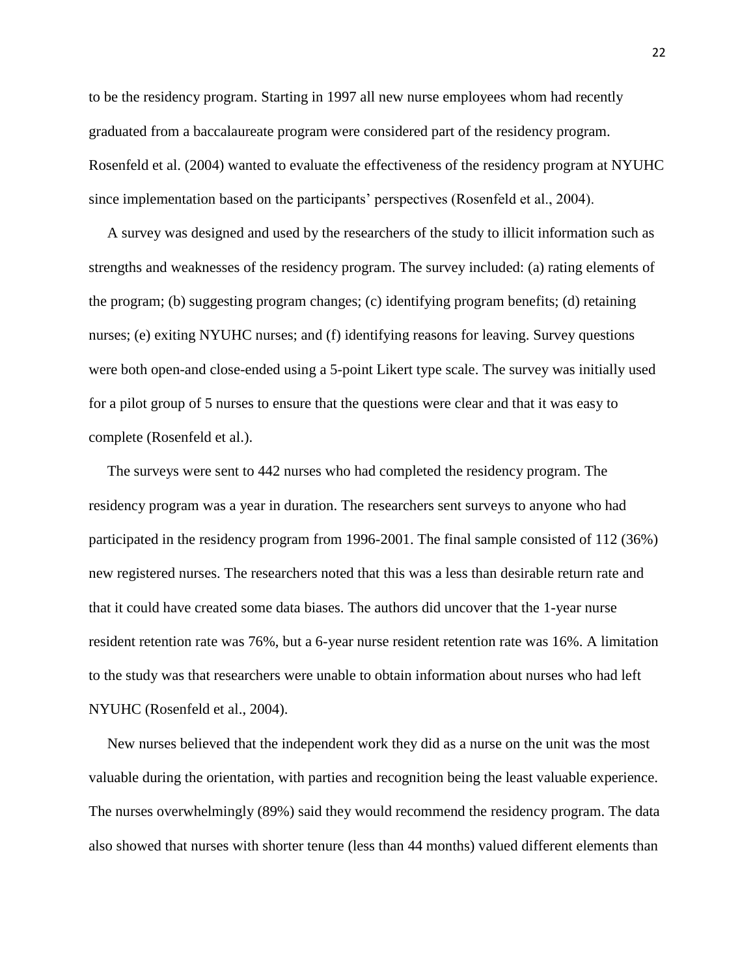to be the residency program. Starting in 1997 all new nurse employees whom had recently graduated from a baccalaureate program were considered part of the residency program. Rosenfeld et al. (2004) wanted to evaluate the effectiveness of the residency program at NYUHC since implementation based on the participants" perspectives (Rosenfeld et al., 2004).

 A survey was designed and used by the researchers of the study to illicit information such as strengths and weaknesses of the residency program. The survey included: (a) rating elements of the program; (b) suggesting program changes; (c) identifying program benefits; (d) retaining nurses; (e) exiting NYUHC nurses; and (f) identifying reasons for leaving. Survey questions were both open-and close-ended using a 5-point Likert type scale. The survey was initially used for a pilot group of 5 nurses to ensure that the questions were clear and that it was easy to complete (Rosenfeld et al.).

 The surveys were sent to 442 nurses who had completed the residency program. The residency program was a year in duration. The researchers sent surveys to anyone who had participated in the residency program from 1996-2001. The final sample consisted of 112 (36%) new registered nurses. The researchers noted that this was a less than desirable return rate and that it could have created some data biases. The authors did uncover that the 1-year nurse resident retention rate was 76%, but a 6-year nurse resident retention rate was 16%. A limitation to the study was that researchers were unable to obtain information about nurses who had left NYUHC (Rosenfeld et al., 2004).

 New nurses believed that the independent work they did as a nurse on the unit was the most valuable during the orientation, with parties and recognition being the least valuable experience. The nurses overwhelmingly (89%) said they would recommend the residency program. The data also showed that nurses with shorter tenure (less than 44 months) valued different elements than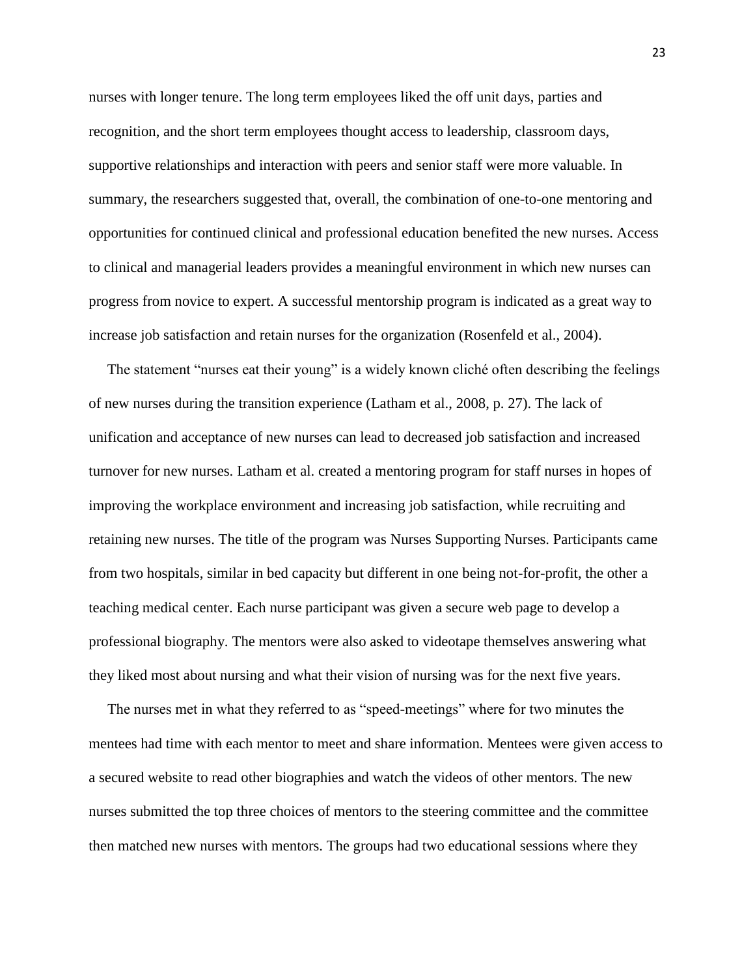nurses with longer tenure. The long term employees liked the off unit days, parties and recognition, and the short term employees thought access to leadership, classroom days, supportive relationships and interaction with peers and senior staff were more valuable. In summary, the researchers suggested that, overall, the combination of one-to-one mentoring and opportunities for continued clinical and professional education benefited the new nurses. Access to clinical and managerial leaders provides a meaningful environment in which new nurses can progress from novice to expert. A successful mentorship program is indicated as a great way to increase job satisfaction and retain nurses for the organization (Rosenfeld et al., 2004).

 The statement "nurses eat their young" is a widely known cliché often describing the feelings of new nurses during the transition experience (Latham et al., 2008, p. 27). The lack of unification and acceptance of new nurses can lead to decreased job satisfaction and increased turnover for new nurses. Latham et al. created a mentoring program for staff nurses in hopes of improving the workplace environment and increasing job satisfaction, while recruiting and retaining new nurses. The title of the program was Nurses Supporting Nurses. Participants came from two hospitals, similar in bed capacity but different in one being not-for-profit, the other a teaching medical center. Each nurse participant was given a secure web page to develop a professional biography. The mentors were also asked to videotape themselves answering what they liked most about nursing and what their vision of nursing was for the next five years.

 The nurses met in what they referred to as "speed-meetings" where for two minutes the mentees had time with each mentor to meet and share information. Mentees were given access to a secured website to read other biographies and watch the videos of other mentors. The new nurses submitted the top three choices of mentors to the steering committee and the committee then matched new nurses with mentors. The groups had two educational sessions where they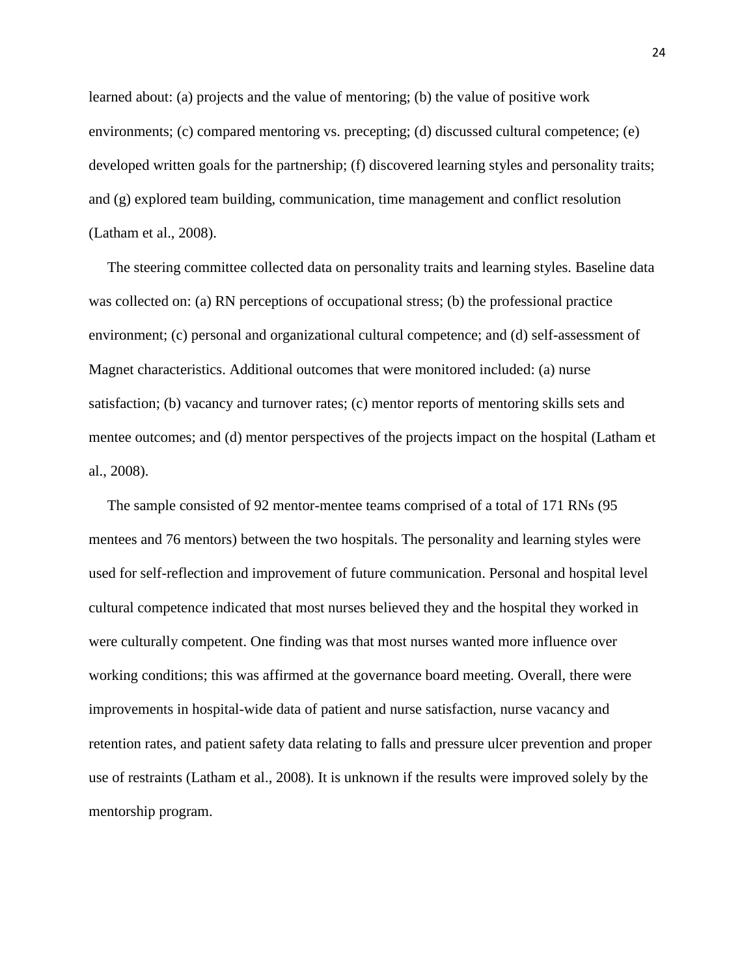learned about: (a) projects and the value of mentoring; (b) the value of positive work environments; (c) compared mentoring vs. precepting; (d) discussed cultural competence; (e) developed written goals for the partnership; (f) discovered learning styles and personality traits; and (g) explored team building, communication, time management and conflict resolution (Latham et al., 2008).

 The steering committee collected data on personality traits and learning styles. Baseline data was collected on: (a) RN perceptions of occupational stress; (b) the professional practice environment; (c) personal and organizational cultural competence; and (d) self-assessment of Magnet characteristics. Additional outcomes that were monitored included: (a) nurse satisfaction; (b) vacancy and turnover rates; (c) mentor reports of mentoring skills sets and mentee outcomes; and (d) mentor perspectives of the projects impact on the hospital (Latham et al., 2008).

 The sample consisted of 92 mentor-mentee teams comprised of a total of 171 RNs (95 mentees and 76 mentors) between the two hospitals. The personality and learning styles were used for self-reflection and improvement of future communication. Personal and hospital level cultural competence indicated that most nurses believed they and the hospital they worked in were culturally competent. One finding was that most nurses wanted more influence over working conditions; this was affirmed at the governance board meeting. Overall, there were improvements in hospital-wide data of patient and nurse satisfaction, nurse vacancy and retention rates, and patient safety data relating to falls and pressure ulcer prevention and proper use of restraints (Latham et al., 2008). It is unknown if the results were improved solely by the mentorship program.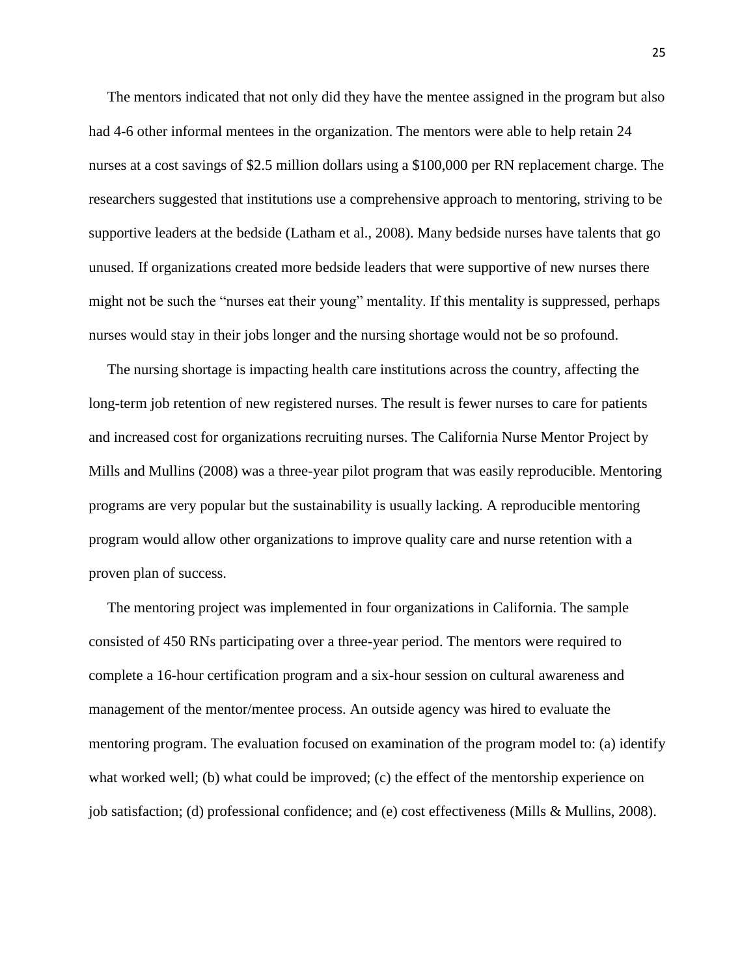The mentors indicated that not only did they have the mentee assigned in the program but also had 4-6 other informal mentees in the organization. The mentors were able to help retain 24 nurses at a cost savings of \$2.5 million dollars using a \$100,000 per RN replacement charge. The researchers suggested that institutions use a comprehensive approach to mentoring, striving to be supportive leaders at the bedside (Latham et al., 2008). Many bedside nurses have talents that go unused. If organizations created more bedside leaders that were supportive of new nurses there might not be such the "nurses eat their young" mentality. If this mentality is suppressed, perhaps nurses would stay in their jobs longer and the nursing shortage would not be so profound.

 The nursing shortage is impacting health care institutions across the country, affecting the long-term job retention of new registered nurses. The result is fewer nurses to care for patients and increased cost for organizations recruiting nurses. The California Nurse Mentor Project by Mills and Mullins (2008) was a three-year pilot program that was easily reproducible. Mentoring programs are very popular but the sustainability is usually lacking. A reproducible mentoring program would allow other organizations to improve quality care and nurse retention with a proven plan of success.

 The mentoring project was implemented in four organizations in California. The sample consisted of 450 RNs participating over a three-year period. The mentors were required to complete a 16-hour certification program and a six-hour session on cultural awareness and management of the mentor/mentee process. An outside agency was hired to evaluate the mentoring program. The evaluation focused on examination of the program model to: (a) identify what worked well; (b) what could be improved; (c) the effect of the mentorship experience on job satisfaction; (d) professional confidence; and (e) cost effectiveness (Mills & Mullins, 2008).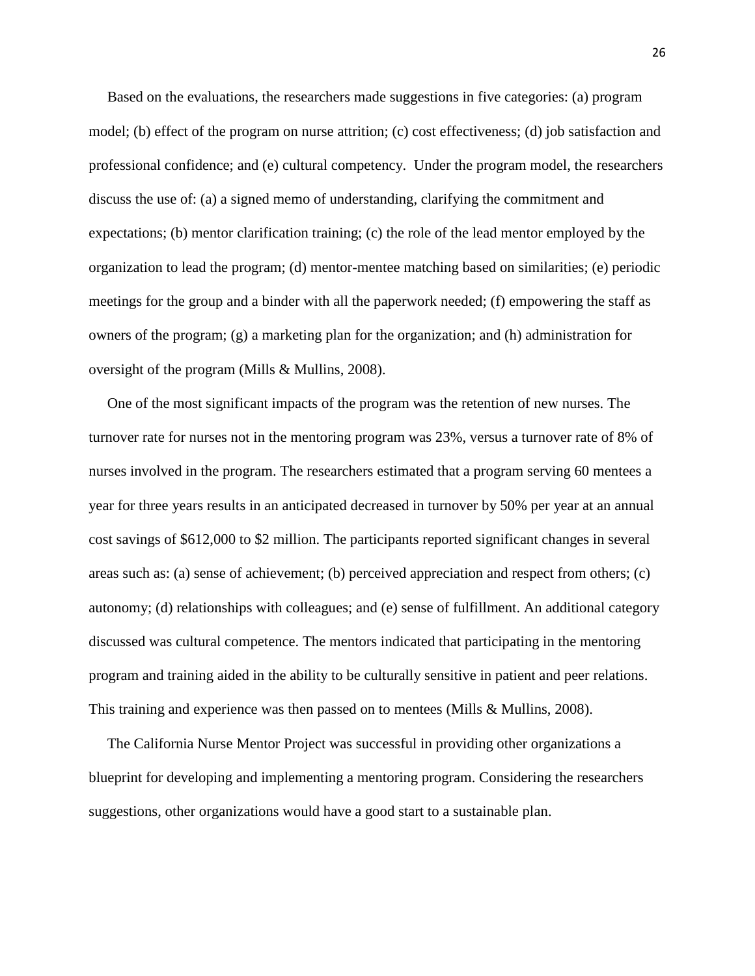Based on the evaluations, the researchers made suggestions in five categories: (a) program model; (b) effect of the program on nurse attrition; (c) cost effectiveness; (d) job satisfaction and professional confidence; and (e) cultural competency. Under the program model, the researchers discuss the use of: (a) a signed memo of understanding, clarifying the commitment and expectations; (b) mentor clarification training; (c) the role of the lead mentor employed by the organization to lead the program; (d) mentor-mentee matching based on similarities; (e) periodic meetings for the group and a binder with all the paperwork needed; (f) empowering the staff as owners of the program; (g) a marketing plan for the organization; and (h) administration for oversight of the program (Mills & Mullins, 2008).

 One of the most significant impacts of the program was the retention of new nurses. The turnover rate for nurses not in the mentoring program was 23%, versus a turnover rate of 8% of nurses involved in the program. The researchers estimated that a program serving 60 mentees a year for three years results in an anticipated decreased in turnover by 50% per year at an annual cost savings of \$612,000 to \$2 million. The participants reported significant changes in several areas such as: (a) sense of achievement; (b) perceived appreciation and respect from others; (c) autonomy; (d) relationships with colleagues; and (e) sense of fulfillment. An additional category discussed was cultural competence. The mentors indicated that participating in the mentoring program and training aided in the ability to be culturally sensitive in patient and peer relations. This training and experience was then passed on to mentees (Mills & Mullins, 2008).

 The California Nurse Mentor Project was successful in providing other organizations a blueprint for developing and implementing a mentoring program. Considering the researchers suggestions, other organizations would have a good start to a sustainable plan.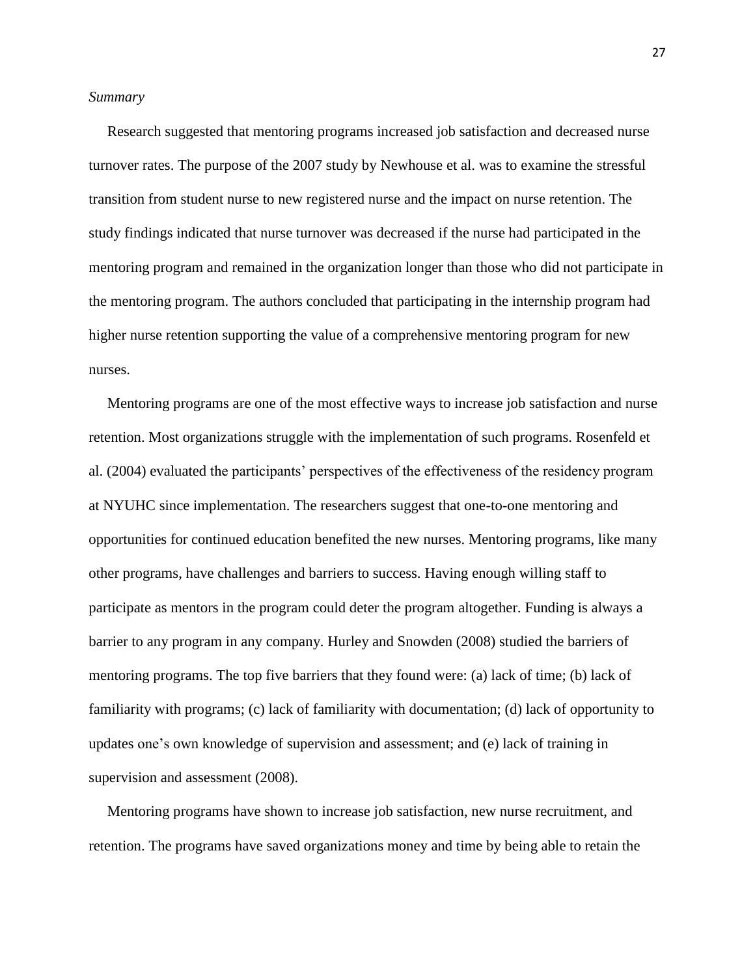#### *Summary*

 Research suggested that mentoring programs increased job satisfaction and decreased nurse turnover rates. The purpose of the 2007 study by Newhouse et al. was to examine the stressful transition from student nurse to new registered nurse and the impact on nurse retention. The study findings indicated that nurse turnover was decreased if the nurse had participated in the mentoring program and remained in the organization longer than those who did not participate in the mentoring program. The authors concluded that participating in the internship program had higher nurse retention supporting the value of a comprehensive mentoring program for new nurses.

 Mentoring programs are one of the most effective ways to increase job satisfaction and nurse retention. Most organizations struggle with the implementation of such programs. Rosenfeld et al. (2004) evaluated the participants" perspectives of the effectiveness of the residency program at NYUHC since implementation. The researchers suggest that one-to-one mentoring and opportunities for continued education benefited the new nurses. Mentoring programs, like many other programs, have challenges and barriers to success. Having enough willing staff to participate as mentors in the program could deter the program altogether. Funding is always a barrier to any program in any company. Hurley and Snowden (2008) studied the barriers of mentoring programs. The top five barriers that they found were: (a) lack of time; (b) lack of familiarity with programs; (c) lack of familiarity with documentation; (d) lack of opportunity to updates one"s own knowledge of supervision and assessment; and (e) lack of training in supervision and assessment (2008).

 Mentoring programs have shown to increase job satisfaction, new nurse recruitment, and retention. The programs have saved organizations money and time by being able to retain the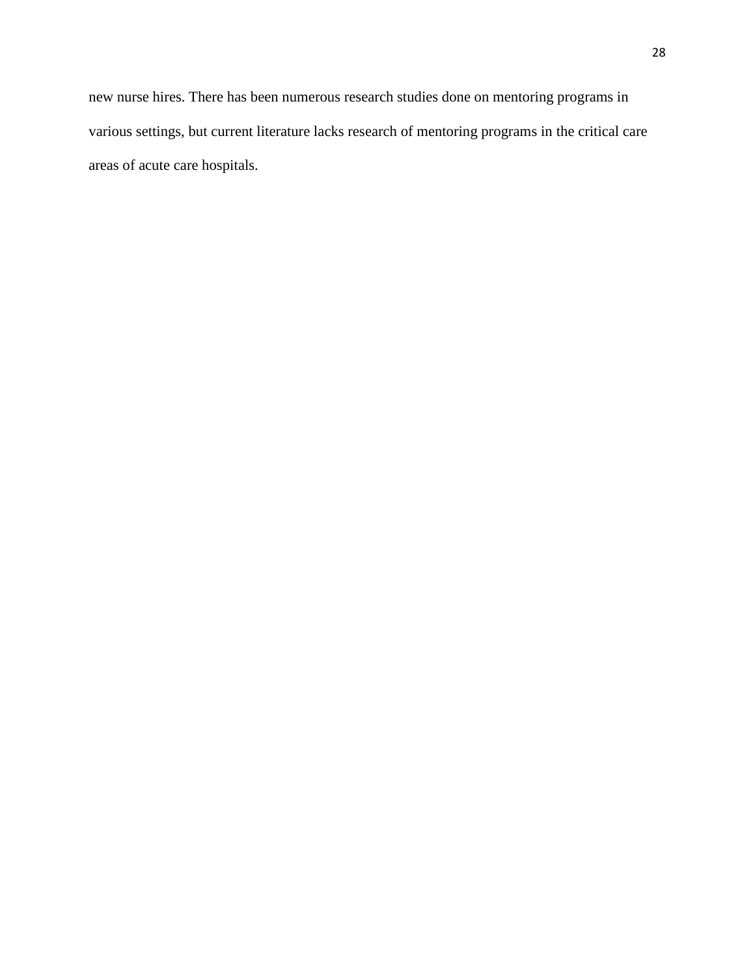new nurse hires. There has been numerous research studies done on mentoring programs in various settings, but current literature lacks research of mentoring programs in the critical care areas of acute care hospitals.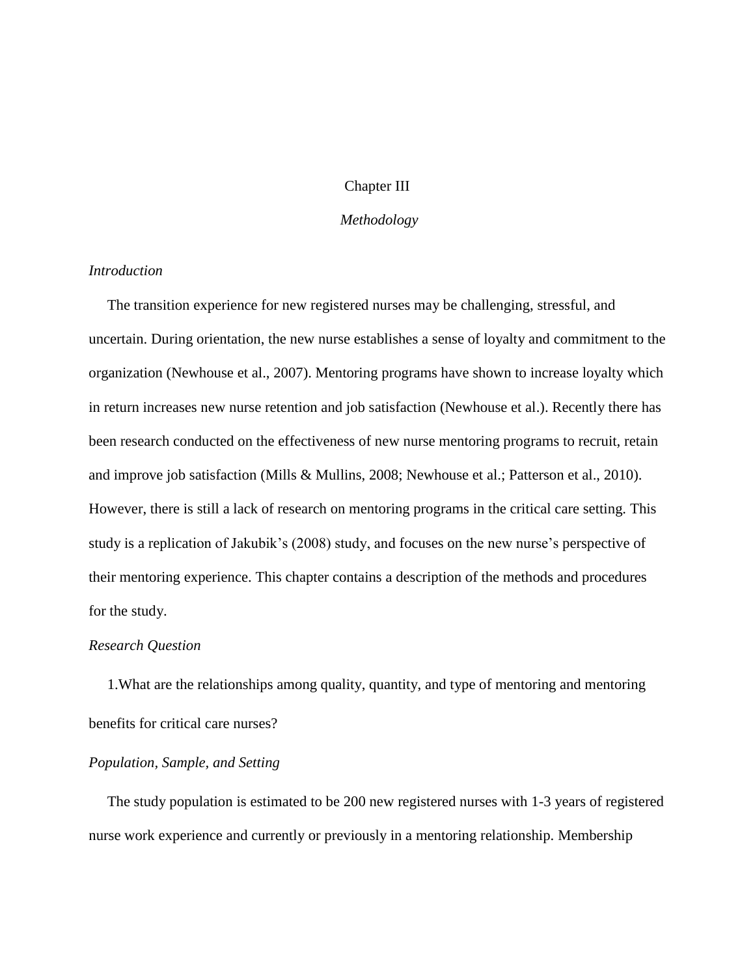# Chapter III

# *Methodology*

# *Introduction*

 The transition experience for new registered nurses may be challenging, stressful, and uncertain. During orientation, the new nurse establishes a sense of loyalty and commitment to the organization (Newhouse et al., 2007). Mentoring programs have shown to increase loyalty which in return increases new nurse retention and job satisfaction (Newhouse et al.). Recently there has been research conducted on the effectiveness of new nurse mentoring programs to recruit, retain and improve job satisfaction (Mills & Mullins, 2008; Newhouse et al.; Patterson et al., 2010). However, there is still a lack of research on mentoring programs in the critical care setting. This study is a replication of Jakubik's (2008) study, and focuses on the new nurse's perspective of their mentoring experience. This chapter contains a description of the methods and procedures for the study.

## *Research Question*

1.What are the relationships among quality, quantity, and type of mentoring and mentoring benefits for critical care nurses?

# *Population, Sample, and Setting*

The study population is estimated to be 200 new registered nurses with 1-3 years of registered nurse work experience and currently or previously in a mentoring relationship. Membership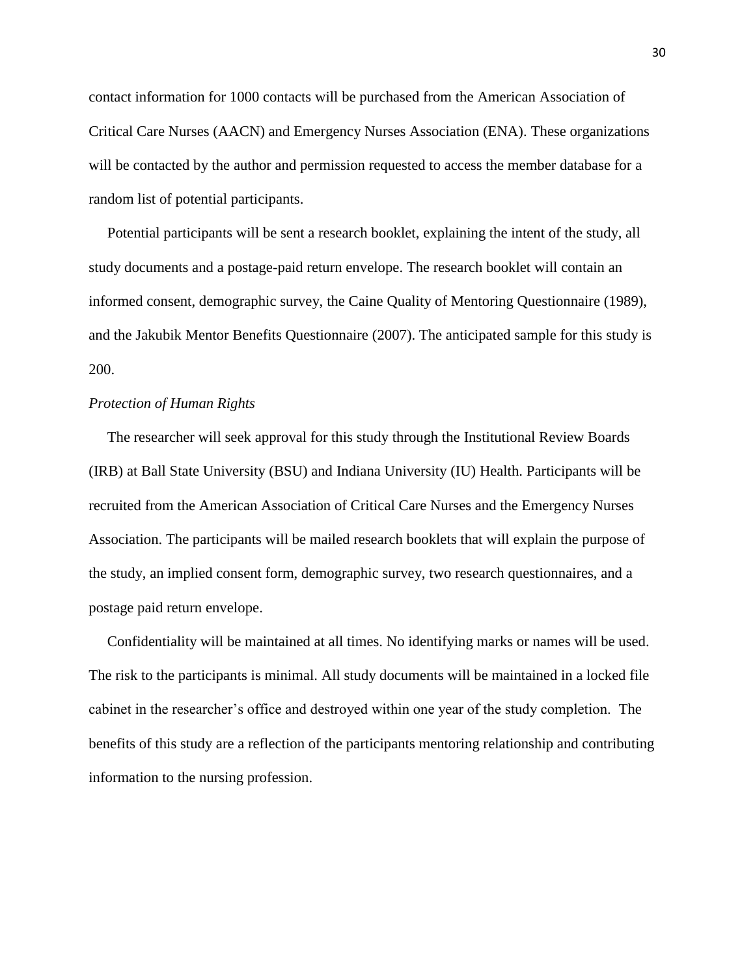contact information for 1000 contacts will be purchased from the American Association of Critical Care Nurses (AACN) and Emergency Nurses Association (ENA). These organizations will be contacted by the author and permission requested to access the member database for a random list of potential participants.

 Potential participants will be sent a research booklet, explaining the intent of the study, all study documents and a postage-paid return envelope. The research booklet will contain an informed consent, demographic survey, the Caine Quality of Mentoring Questionnaire (1989), and the Jakubik Mentor Benefits Questionnaire (2007). The anticipated sample for this study is 200.

# *Protection of Human Rights*

 The researcher will seek approval for this study through the Institutional Review Boards (IRB) at Ball State University (BSU) and Indiana University (IU) Health. Participants will be recruited from the American Association of Critical Care Nurses and the Emergency Nurses Association. The participants will be mailed research booklets that will explain the purpose of the study, an implied consent form, demographic survey, two research questionnaires, and a postage paid return envelope.

 Confidentiality will be maintained at all times. No identifying marks or names will be used. The risk to the participants is minimal. All study documents will be maintained in a locked file cabinet in the researcher"s office and destroyed within one year of the study completion. The benefits of this study are a reflection of the participants mentoring relationship and contributing information to the nursing profession.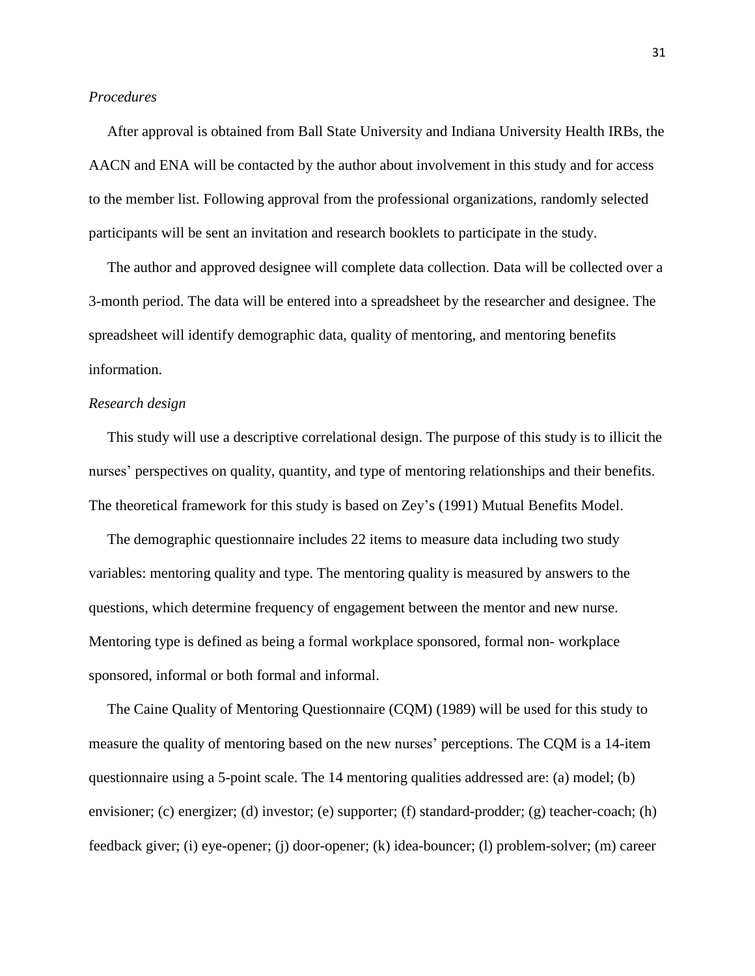## *Procedures*

 After approval is obtained from Ball State University and Indiana University Health IRBs, the AACN and ENA will be contacted by the author about involvement in this study and for access to the member list. Following approval from the professional organizations, randomly selected participants will be sent an invitation and research booklets to participate in the study.

 The author and approved designee will complete data collection. Data will be collected over a 3-month period. The data will be entered into a spreadsheet by the researcher and designee. The spreadsheet will identify demographic data, quality of mentoring, and mentoring benefits information.

# *Research design*

This study will use a descriptive correlational design. The purpose of this study is to illicit the nurses" perspectives on quality, quantity, and type of mentoring relationships and their benefits. The theoretical framework for this study is based on Zey"s (1991) Mutual Benefits Model.

 The demographic questionnaire includes 22 items to measure data including two study variables: mentoring quality and type. The mentoring quality is measured by answers to the questions, which determine frequency of engagement between the mentor and new nurse. Mentoring type is defined as being a formal workplace sponsored, formal non- workplace sponsored, informal or both formal and informal.

 The Caine Quality of Mentoring Questionnaire (CQM) (1989) will be used for this study to measure the quality of mentoring based on the new nurses" perceptions. The CQM is a 14-item questionnaire using a 5-point scale. The 14 mentoring qualities addressed are: (a) model; (b) envisioner; (c) energizer; (d) investor; (e) supporter; (f) standard-prodder; (g) teacher-coach; (h) feedback giver; (i) eye-opener; (j) door-opener; (k) idea-bouncer; (l) problem-solver; (m) career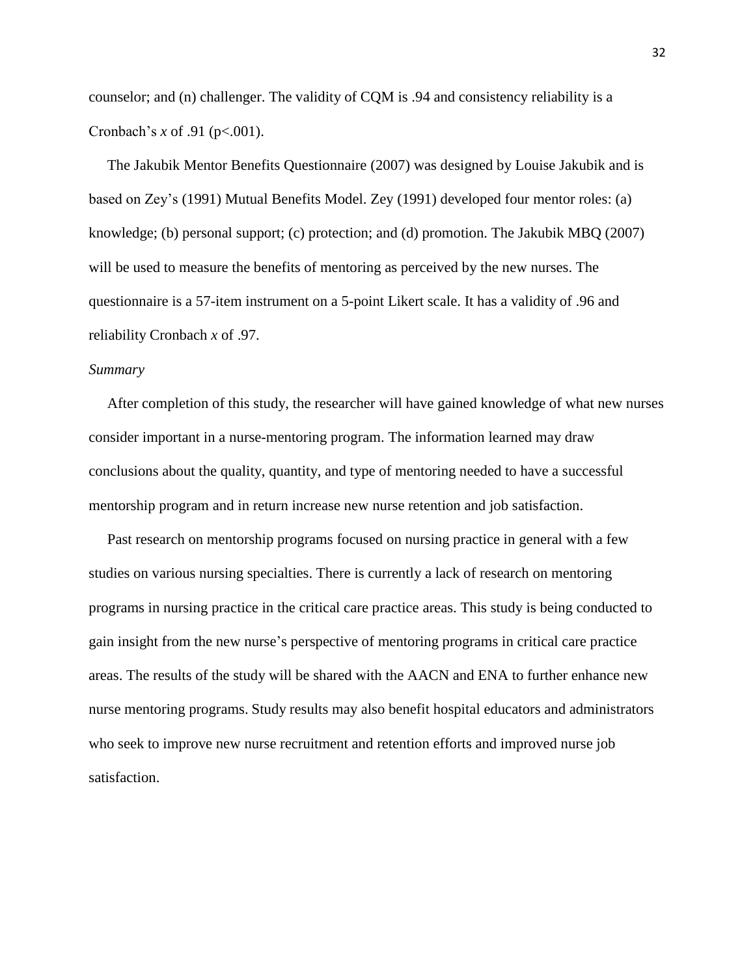counselor; and (n) challenger. The validity of CQM is .94 and consistency reliability is a Cronbach"s *x* of .91 (p<.001).

 The Jakubik Mentor Benefits Questionnaire (2007) was designed by Louise Jakubik and is based on Zey"s (1991) Mutual Benefits Model. Zey (1991) developed four mentor roles: (a) knowledge; (b) personal support; (c) protection; and (d) promotion. The Jakubik MBQ (2007) will be used to measure the benefits of mentoring as perceived by the new nurses. The questionnaire is a 57-item instrument on a 5-point Likert scale. It has a validity of .96 and reliability Cronbach *x* of .97.

# *Summary*

 After completion of this study, the researcher will have gained knowledge of what new nurses consider important in a nurse-mentoring program. The information learned may draw conclusions about the quality, quantity, and type of mentoring needed to have a successful mentorship program and in return increase new nurse retention and job satisfaction.

 Past research on mentorship programs focused on nursing practice in general with a few studies on various nursing specialties. There is currently a lack of research on mentoring programs in nursing practice in the critical care practice areas. This study is being conducted to gain insight from the new nurse"s perspective of mentoring programs in critical care practice areas. The results of the study will be shared with the AACN and ENA to further enhance new nurse mentoring programs. Study results may also benefit hospital educators and administrators who seek to improve new nurse recruitment and retention efforts and improved nurse job satisfaction.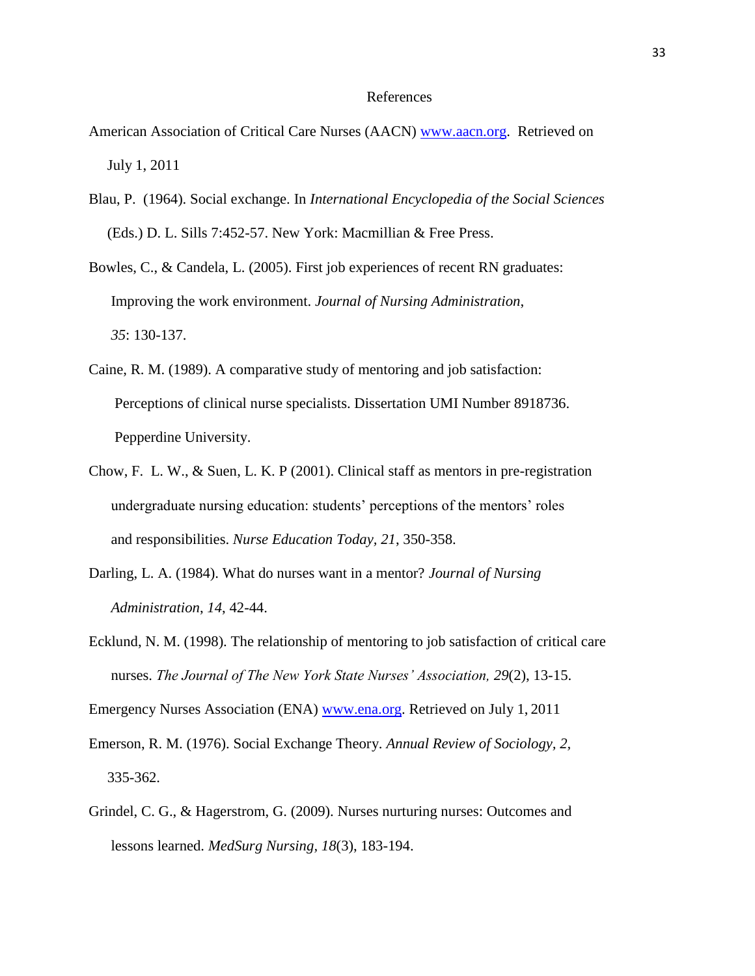#### References

- American Association of Critical Care Nurses (AACN) [www.aacn.org.](http://www.aacn.org/) Retrieved on July 1, 2011
- Blau, P. (1964). Social exchange. In *International Encyclopedia of the Social Sciences* (Eds.) D. L. Sills 7:452-57. New York: Macmillian & Free Press.
- Bowles, C., & Candela, L. (2005). First job experiences of recent RN graduates: Improving the work environment. *Journal of Nursing Administration*, *35*: 130-137.
- Caine, R. M. (1989). A comparative study of mentoring and job satisfaction: Perceptions of clinical nurse specialists. Dissertation UMI Number 8918736. Pepperdine University.
- Chow, F. L. W., & Suen, L. K. P (2001). Clinical staff as mentors in pre-registration undergraduate nursing education: students' perceptions of the mentors' roles and responsibilities. *Nurse Education Today, 21*, 350-358.
- Darling, L. A. (1984). What do nurses want in a mentor? *Journal of Nursing Administration*, *14*, 42-44.
- Ecklund, N. M. (1998). The relationship of mentoring to job satisfaction of critical care nurses. *The Journal of The New York State Nurses' Association, 29*(2), 13-15.

Emergency Nurses Association (ENA) [www.ena.org.](http://www.ena.org/) Retrieved on July 1, 2011

- Emerson, R. M. (1976). Social Exchange Theory. *Annual Review of Sociology, 2,* 335-362.
- Grindel, C. G., & Hagerstrom, G. (2009). Nurses nurturing nurses: Outcomes and lessons learned. *MedSurg Nursing, 18*(3), 183-194.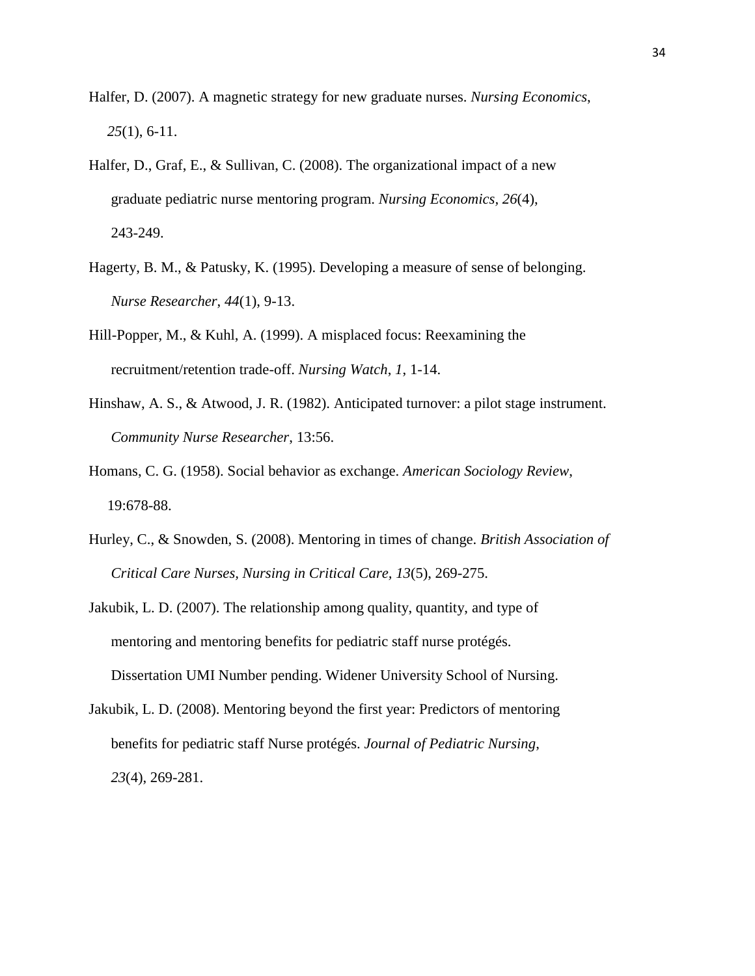- Halfer, D. (2007). A magnetic strategy for new graduate nurses. *Nursing Economics*, *25*(1), 6-11.
- Halfer, D., Graf, E., & Sullivan, C. (2008). The organizational impact of a new graduate pediatric nurse mentoring program. *Nursing Economics, 26*(4), 243-249.
- Hagerty, B. M., & Patusky, K. (1995). Developing a measure of sense of belonging. *Nurse Researcher*, *44*(1), 9-13.
- Hill-Popper, M., & Kuhl, A. (1999). A misplaced focus: Reexamining the recruitment/retention trade-off. *Nursing Watch*, *1*, 1-14.
- Hinshaw, A. S., & Atwood, J. R. (1982). Anticipated turnover: a pilot stage instrument. *Community Nurse Researcher*, 13:56.
- Homans, C. G. (1958). Social behavior as exchange. *American Sociology Review*, 19:678-88.
- Hurley, C., & Snowden, S. (2008). Mentoring in times of change. *British Association of Critical Care Nurses, Nursing in Critical Care, 13*(5), 269-275.
- Jakubik, L. D. (2007). The relationship among quality, quantity, and type of mentoring and mentoring benefits for pediatric staff nurse protégés. Dissertation UMI Number pending. Widener University School of Nursing.
- Jakubik, L. D. (2008). Mentoring beyond the first year: Predictors of mentoring benefits for pediatric staff Nurse protégés. *Journal of Pediatric Nursing*, *23*(4), 269-281.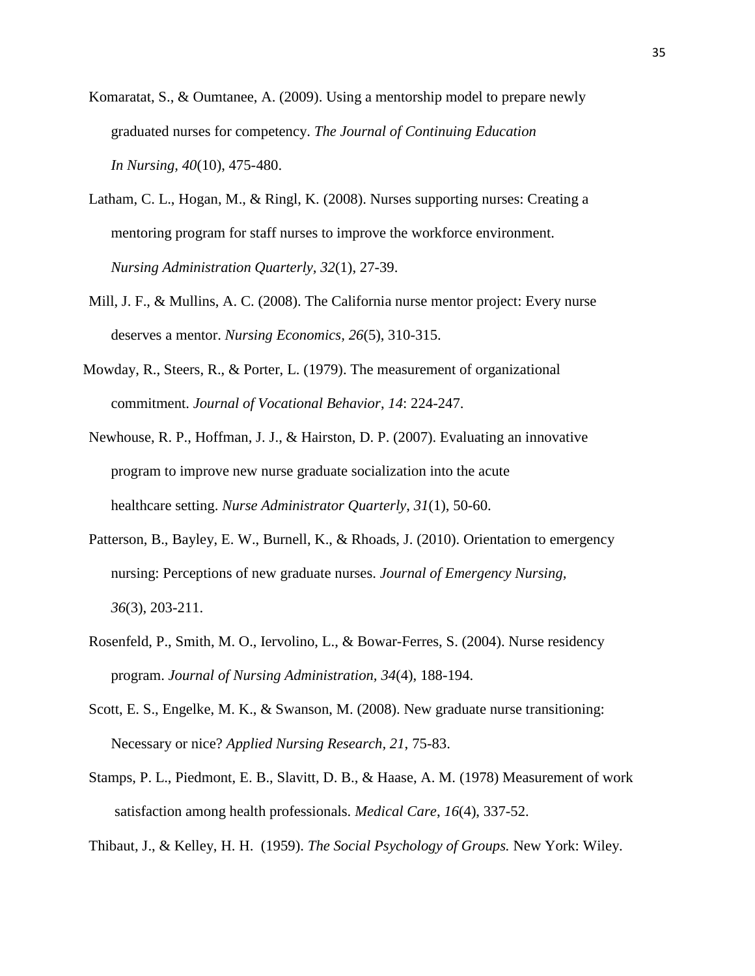- Komaratat, S., & Oumtanee, A. (2009). Using a mentorship model to prepare newly graduated nurses for competency. *The Journal of Continuing Education In Nursing, 40*(10), 475-480.
- Latham, C. L., Hogan, M., & Ringl, K. (2008). Nurses supporting nurses: Creating a mentoring program for staff nurses to improve the workforce environment. *Nursing Administration Quarterly, 32*(1), 27-39.
- Mill, J. F., & Mullins, A. C. (2008). The California nurse mentor project: Every nurse deserves a mentor. *Nursing Economics, 26*(5), 310-315.
- Mowday, R., Steers, R., & Porter, L. (1979). The measurement of organizational commitment. *Journal of Vocational Behavior*, *14*: 224-247.
- Newhouse, R. P., Hoffman, J. J., & Hairston, D. P. (2007). Evaluating an innovative program to improve new nurse graduate socialization into the acute healthcare setting. *Nurse Administrator Quarterly*, *31*(1), 50-60.
- Patterson, B., Bayley, E. W., Burnell, K., & Rhoads, J. (2010). Orientation to emergency nursing: Perceptions of new graduate nurses. *Journal of Emergency Nursing, 36*(3), 203-211.
- Rosenfeld, P., Smith, M. O., Iervolino, L., & Bowar-Ferres, S. (2004). Nurse residency program. *Journal of Nursing Administration, 34*(4), 188-194.
- Scott, E. S., Engelke, M. K., & Swanson, M. (2008). New graduate nurse transitioning: Necessary or nice? *Applied Nursing Research, 21*, 75-83.
- Stamps, P. L., Piedmont, E. B., Slavitt, D. B., & Haase, A. M. (1978) Measurement of work satisfaction among health professionals. *Medical Care*, *16*(4), 337-52.
- Thibaut, J., & Kelley, H. H. (1959). *The Social Psychology of Groups.* New York: Wiley.